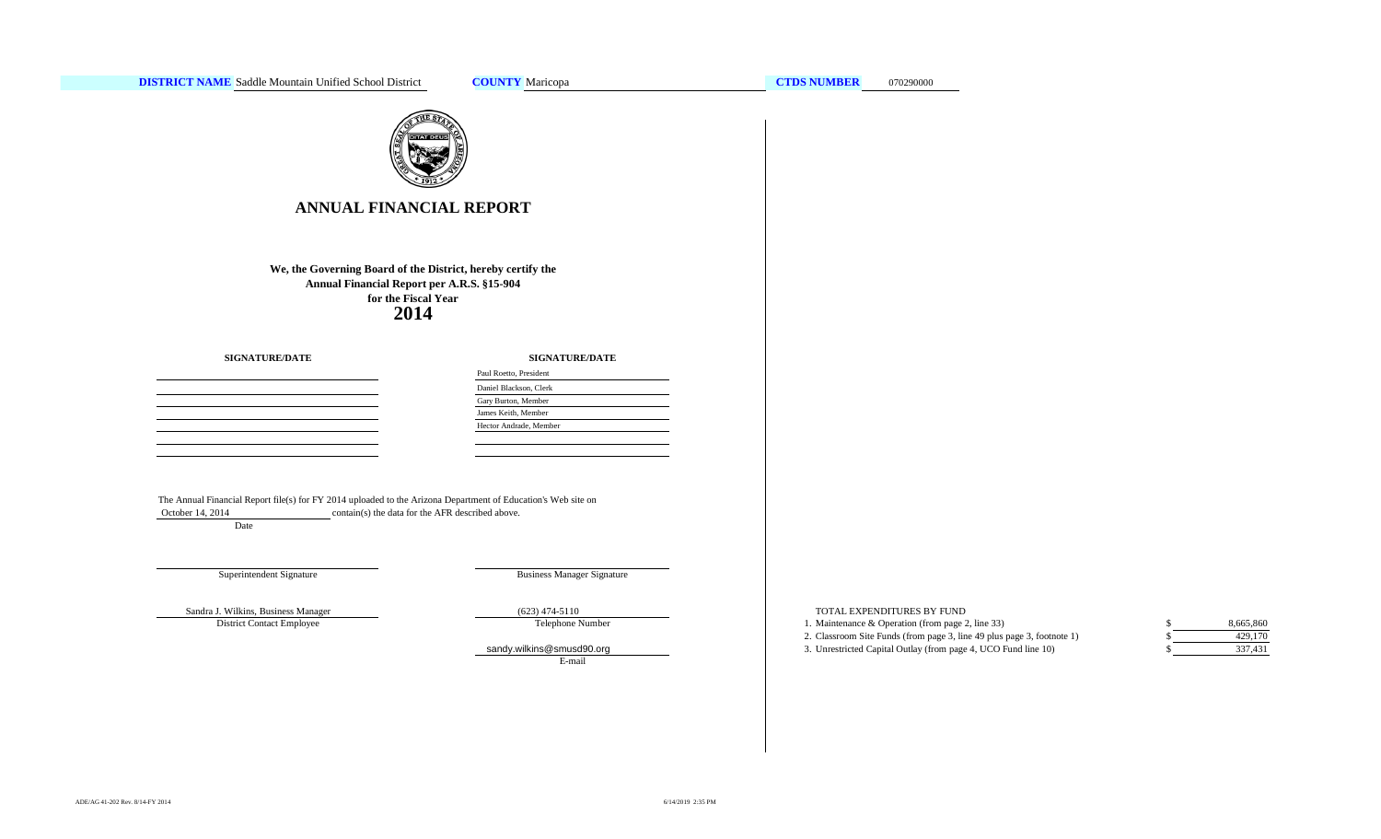

# **ANNUAL FINANCIAL REPORT**

**2014 We, the Governing Board of the District, hereby certify the Annual Financial Report per A.R.S. §15-904 for the Fiscal Year**

**SIGNATURE/DATE**

**SIGNATURE/DATE**

 $\sim 10^{-1}$ 

| Paul Roetto, President |  |
|------------------------|--|
| Daniel Blackson, Clerk |  |
| Gary Burton, Member    |  |
| James Keith, Member    |  |
| Hector Andrade, Member |  |
|                        |  |

The Annual Financial Report file(s) for FY 2014 uploaded to the Arizona Department of Education's Web site on October 14, 2014 contain(s) the data for the AFR described above. Date

Superintendent Signature

Business Manager Signature

District Contact Employee

Telephone Number

E-mail

#### Sandra J. Wilkins, Business Manager (623) 474-5110 (623) 474-5110 TOTAL EXPENDITURES BY FUND

1. Maintenance & Operation (from page 2, line 33) \$

2. Classroom Site Funds (from page 3, line 49 plus page 3, footnote 1) \$ [sandy.wilkins@smu](mailto:sandy.wilkins@smusd90.org#)sd90.org 3. Unrestricted Capital Outlay (from page 4, UCO Fund line 10)

8,665,860 429,170 337,431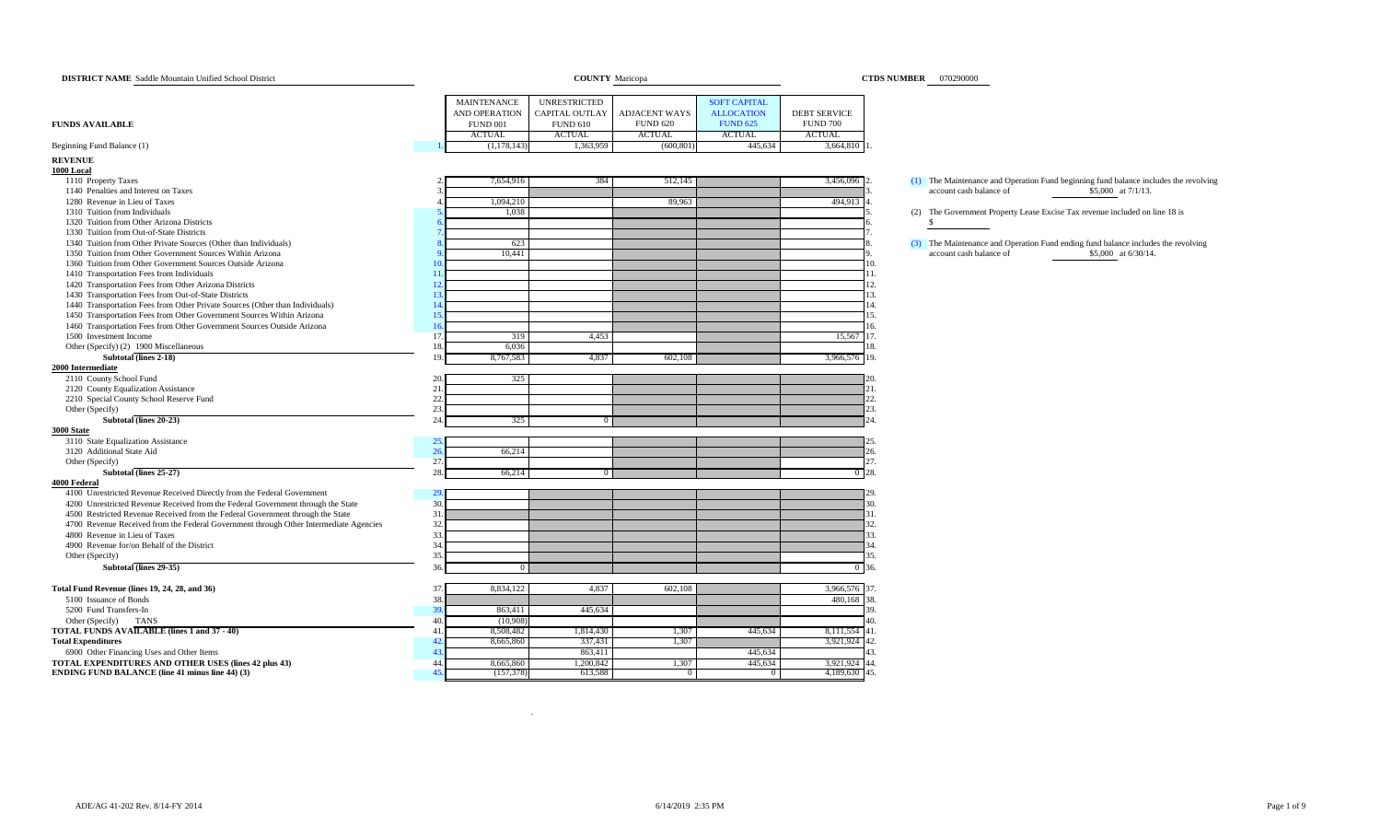| <b>DISTRICT NAME</b> Saddle Mountain Unified School District                          |                |                    | <b>COUNTY</b> Maricopa |                      |                     |                     | <b>CTDS NUMBER</b> 070290000                                                         |
|---------------------------------------------------------------------------------------|----------------|--------------------|------------------------|----------------------|---------------------|---------------------|--------------------------------------------------------------------------------------|
|                                                                                       |                | <b>MAINTENANCE</b> | <b>UNRESTRICTED</b>    |                      | <b>SOFT CAPITAL</b> |                     |                                                                                      |
|                                                                                       |                | AND OPERATION      | CAPITAL OUTLAY         | <b>ADJACENT WAYS</b> | <b>ALLOCATION</b>   | <b>DEBT SERVICE</b> |                                                                                      |
| <b>FUNDS AVAILABLE</b>                                                                |                | <b>FUND 001</b>    | <b>FUND 610</b>        | <b>FUND 620</b>      | <b>FUND 625</b>     | <b>FUND 700</b>     |                                                                                      |
|                                                                                       |                | <b>ACTUAL</b>      | <b>ACTUAL</b>          | <b>ACTUAL</b>        | <b>ACTUAL</b>       | <b>ACTUAL</b>       |                                                                                      |
| Beginning Fund Balance (1)                                                            |                | (1,178,143)        | 1,363,959              | (600, 80)            | 445,634             | 3,664,810           |                                                                                      |
| <b>REVENUE</b>                                                                        |                |                    |                        |                      |                     |                     |                                                                                      |
| 1000 Local                                                                            |                |                    |                        |                      |                     |                     |                                                                                      |
| 1110 Property Taxes                                                                   |                | 7,654,916          | 384                    | 512,145              |                     | 3,456,096           | (1) The Maintenance and Operation Fund beginning fund balance includes the revolving |
| 1140 Penalties and Interest on Taxes                                                  |                |                    |                        |                      |                     |                     | account cash balance of<br>\$5,000 at 7/1/13.                                        |
| 1280 Revenue in Lieu of Taxes                                                         |                | 1,094,210          |                        | 89,963               |                     | 494,913             |                                                                                      |
| 1310 Tuition from Individuals                                                         |                | 1,038              |                        |                      |                     |                     | (2) The Government Property Lease Excise Tax revenue included on line 18 is          |
| 1320 Tuition from Other Arizona Districts                                             |                |                    |                        |                      |                     |                     | <sup>\$</sup>                                                                        |
| 1330 Tuition from Out-of-State Districts                                              |                |                    |                        |                      |                     |                     |                                                                                      |
| 1340 Tuition from Other Private Sources (Other than Individuals)                      |                | 623                |                        |                      |                     |                     | (3) The Maintenance and Operation Fund ending fund balance includes the revolving    |
| 1350 Tuition from Other Government Sources Within Arizona                             |                | 10,441             |                        |                      |                     |                     | account cash balance of<br>\$5,000 at 6/30/14.                                       |
| 1360 Tuition from Other Government Sources Outside Arizona                            |                |                    |                        |                      |                     |                     | 10.                                                                                  |
| 1410 Transportation Fees from Individuals                                             | 11.            |                    |                        |                      |                     |                     | 11.                                                                                  |
| 1420 Transportation Fees from Other Arizona Districts                                 | 12.            |                    |                        |                      |                     |                     | 12.                                                                                  |
| 1430 Transportation Fees from Out-of-State Districts                                  | 1 <sup>2</sup> |                    |                        |                      |                     |                     | 13.                                                                                  |
| 1440 Transportation Fees from Other Private Sources (Other than Individuals)          |                |                    |                        |                      |                     |                     | 14.                                                                                  |
| 1450 Transportation Fees from Other Government Sources Within Arizona                 | 15             |                    |                        |                      |                     |                     | 15.                                                                                  |
| 1460 Transportation Fees from Other Government Sources Outside Arizona                | $\mathbf{1}$   |                    |                        |                      |                     |                     | 16.                                                                                  |
| 1500 Investment Income                                                                | 17.            | 319                | 4,453                  |                      |                     | 15,567 17.          |                                                                                      |
| Other (Specify) (2) 1900 Miscellaneous                                                | 18.            | 6,036              |                        |                      |                     |                     | 18.                                                                                  |
| Subtotal (lines 2-18)                                                                 | 19             | 8,767,583          | 4,837                  | 602,108              |                     | 3,966,576 19.       |                                                                                      |
| 2000 Intermediate                                                                     |                |                    |                        |                      |                     |                     |                                                                                      |
| 2110 County School Fund                                                               | 20             | 325                |                        |                      |                     |                     | 20.                                                                                  |
| 2120 County Equalization Assistance                                                   | 21             |                    |                        |                      |                     |                     | 21.                                                                                  |
| 2210 Special County School Reserve Fund                                               | 22.            |                    |                        |                      |                     |                     | 22.                                                                                  |
| Other (Specify)                                                                       | 23.            |                    |                        |                      |                     |                     | 23.                                                                                  |
| Subtotal (lines 20-23)                                                                | 24.            | 325                |                        |                      |                     |                     | 24                                                                                   |
| 3000 State                                                                            |                |                    |                        |                      |                     |                     |                                                                                      |
| 3110 State Equalization Assistance<br>3120 Additional State Aid                       | 25<br>26       | 66,214             |                        |                      |                     |                     | 26.                                                                                  |
| Other (Specify)                                                                       | 27.            |                    |                        |                      |                     |                     | 27.                                                                                  |
| Subtotal (lines 25-27)                                                                | 28.            | 66,214             |                        |                      |                     |                     | $0^{\circ}28.$                                                                       |
| <b>4000 Federal</b>                                                                   |                |                    |                        |                      |                     |                     |                                                                                      |
| 4100 Unrestricted Revenue Received Directly from the Federal Government               | 29             |                    |                        |                      |                     |                     | 29.                                                                                  |
| 4200 Unrestricted Revenue Received from the Federal Government through the State      | 30.            |                    |                        |                      |                     |                     | 30.                                                                                  |
| 4500 Restricted Revenue Received from the Federal Government through the State        | 31             |                    |                        |                      |                     |                     | 31.                                                                                  |
| 4700 Revenue Received from the Federal Government through Other Intermediate Agencies | 32.            |                    |                        |                      |                     |                     | 32.                                                                                  |
| 4800 Revenue in Lieu of Taxes                                                         | 33.            |                    |                        |                      |                     |                     | 33.                                                                                  |
| 4900 Revenue for/on Behalf of the District                                            | 34.            |                    |                        |                      |                     |                     | 34.                                                                                  |
| Other (Specify)                                                                       | 35.            |                    |                        |                      |                     |                     | 35.                                                                                  |
| Subtotal (lines 29-35)                                                                | 36.            |                    |                        |                      |                     | $\sigma$            | 36.                                                                                  |
| Total Fund Revenue (lines 19, 24, 28, and 36)                                         | 37             | 8,834,122          | 4,837                  | 602,108              |                     | 3,966,576 37.       |                                                                                      |
| 5100 Issuance of Bonds                                                                | 38             |                    |                        |                      |                     | 480,168 38.         |                                                                                      |
| 5200 Fund Transfers-In                                                                | 39.            | 863,411            | 445,634                |                      |                     |                     | 39.                                                                                  |
| Other (Specify)<br><b>TANS</b>                                                        | 40.            | (10.908)           |                        |                      |                     |                     | 40.                                                                                  |
| <b>TOTAL FUNDS AVAILABLE (lines 1 and 37 - 40)</b>                                    | 41             | 8,508,482          | 1,814,430              | 1,307                | 445,634             | 8,111,554 41.       |                                                                                      |
| <b>Total Expenditures</b>                                                             | 42.            | 8,665,860          | 337,431                | 1,307                |                     | 3,921,924 42.       |                                                                                      |
| 6900 Other Financing Uses and Other Items                                             | 43.            |                    | 863,411                |                      | 445.634             |                     | 43.                                                                                  |
| TOTAL EXPENDITURES AND OTHER USES (lines 42 plus 43)                                  | 44.            | 8,665,860          | 1,200,842              | 1,307                | 445,634             | 3,921,924 44.       |                                                                                      |
| <b>ENDING FUND BALANCE (line 41 minus line 44) (3)</b>                                | 45.            | (157, 378)         | 613,588                |                      |                     | 4,189,630 45.       |                                                                                      |

.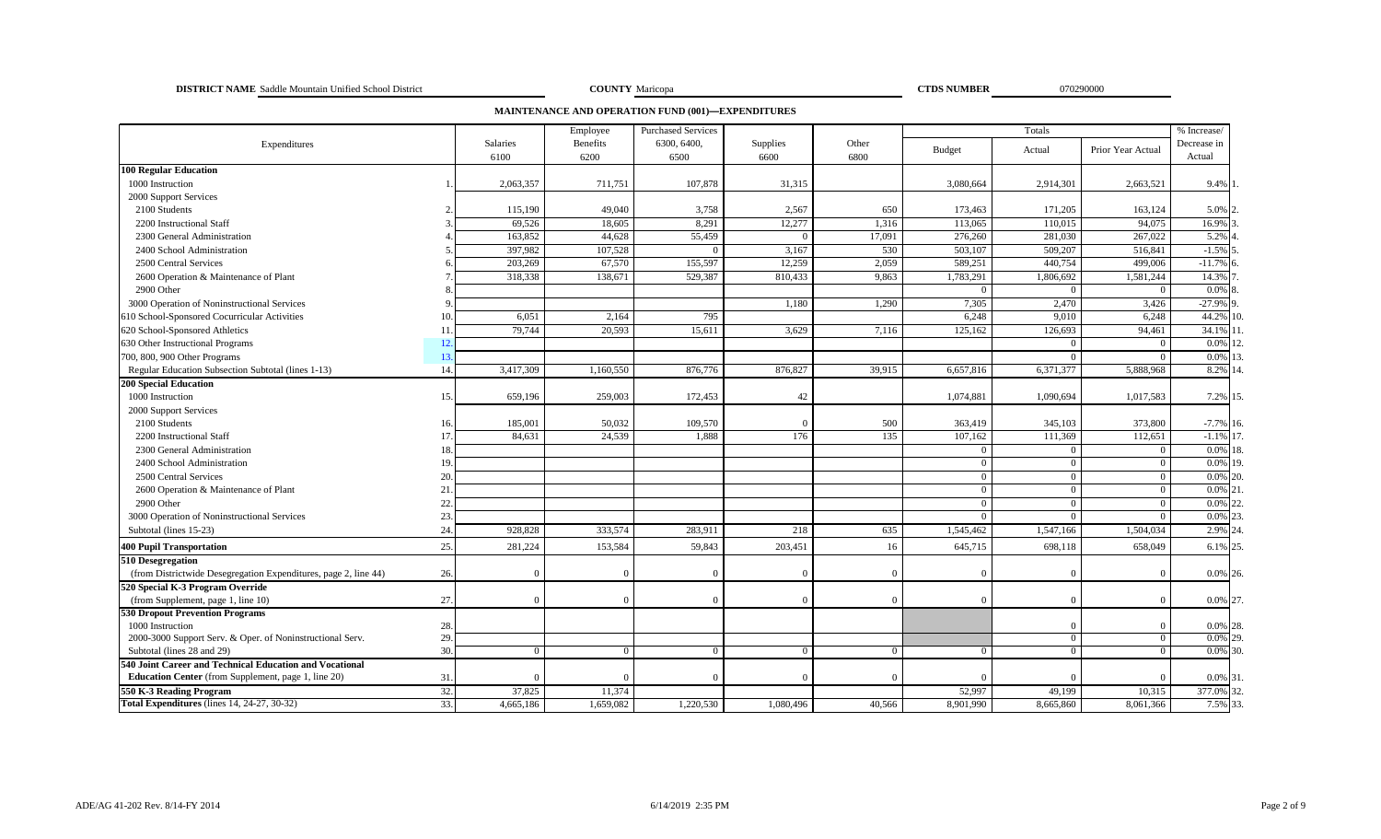**DISTRICT NAME** Saddle Mountain Unified School District **COUNTY COUNTY Maricopa COUNTY Maricopa CTDS NUMBER** 070290000

**COUNTY** Maricopa

**MAINTENANCE AND OPERATION FUND (001)—EXPENDITURES**

|                                                                 |     |                  | Employee         | <b>Purchased Services</b> |                  |               |                | Totals         |                   | % Increase/           |
|-----------------------------------------------------------------|-----|------------------|------------------|---------------------------|------------------|---------------|----------------|----------------|-------------------|-----------------------|
| Expenditures                                                    |     | Salaries<br>6100 | Benefits<br>6200 | 6300, 6400,<br>6500       | Supplies<br>6600 | Other<br>6800 | <b>Budget</b>  | Actual         | Prior Year Actual | Decrease in<br>Actual |
| <b>100 Regular Education</b>                                    |     |                  |                  |                           |                  |               |                |                |                   |                       |
| 1000 Instruction                                                |     | 2,063,357        | 711,751          | 107,878                   | 31,315           |               | 3,080,664      | 2,914,301      | 2,663,521         | 9.4%                  |
| 2000 Support Services                                           |     |                  |                  |                           |                  |               |                |                |                   |                       |
| 2100 Students                                                   |     | 115,190          | 49,040           | 3,758                     | 2,567            | 650           | 173,463        | 171,205        | 163,124           | 5.0%                  |
| 2200 Instructional Staff                                        |     | 69,526           | 18,605           | 8,291                     | 12,277           | 1,316         | 113,065        | 110,015        | 94.075            | 16.9%                 |
| 2300 General Administration                                     |     | 163,852          | 44,628           | 55,459                    | $\Omega$         | 17,091        | 276,260        | 281,030        | 267,022           | 5.2%                  |
| 2400 School Administration                                      |     | 397,982          | 107,528          |                           | 3,167            | 530           | 503,107        | 509,207        | 516,841           | $-1.5\%$ :            |
| 2500 Central Services                                           |     | 203,269          | 67,570           | 155,597                   | 12,259           | 2,059         | 589,251        | 440,754        | 499,006           | $-11.7%$              |
| 2600 Operation & Maintenance of Plant                           |     | 318,338          | 138,671          | 529,387                   | 810,433          | 9,863         | 1,783,291      | 1,806,692      | 1,581,244         | 14.3%                 |
| 2900 Other                                                      |     |                  |                  |                           |                  |               | $\Omega$       | $\overline{0}$ | $\overline{0}$    | 0.0%                  |
| 3000 Operation of Noninstructional Services                     |     |                  |                  |                           | 1,180            | 1,290         | 7,305          | 2,470          | 3,426             | $-27.9%$ 9            |
| 610 School-Sponsored Cocurricular Activities                    | 10. | 6,051            | 2,164            | 795                       |                  |               | 6,248          | 9,010          | 6,248             | 44.2% 10              |
| 620 School-Sponsored Athletics                                  | 11  | 79,744           | 20.593           | 15,611                    | 3.629            | 7,116         | 125,162        | 126,693        | 94,461            | 34.1%                 |
| 630 Other Instructional Programs                                | 12. |                  |                  |                           |                  |               |                | $\Omega$       | $\Omega$          | 0.0%                  |
| 700, 800, 900 Other Programs                                    | 13. |                  |                  |                           |                  |               |                | $\Omega$       | $\overline{0}$    | $0.0\%$ 1             |
| Regular Education Subsection Subtotal (lines 1-13)              | 14. | 3,417,309        | 1,160,550        | 876,776                   | 876,827          | 39,915        | 6,657,816      | 6,371,377      | 5,888,968         | 8.2% 14               |
| <b>200 Special Education</b>                                    |     |                  |                  |                           |                  |               |                |                |                   |                       |
| 1000 Instruction                                                | 15. | 659,196          | 259,003          | 172,453                   | 42               |               | 1,074,881      | 1,090,694      | 1,017,583         | 7.2% 15.              |
| 2000 Support Services                                           |     |                  |                  |                           |                  |               |                |                |                   |                       |
| 2100 Students                                                   | 16. | 185,001          | 50,032           | 109,570                   | $\Omega$         | 500           | 363,419        | 345,103        | 373,800           | $-7.7\%$ 16.          |
| 2200 Instructional Staff                                        | 17. | 84,631           | 24,539           | 1.888                     | 176              | 135           | 107.162        | 111,369        | 112,651           | $-1.1\%$ 17           |
| 2300 General Administration                                     | 18. |                  |                  |                           |                  |               | $\Omega$       | $\Omega$       | $\Omega$          | $0.0\%$ 18            |
| 2400 School Administration                                      | 19  |                  |                  |                           |                  |               | $\Omega$       | $\overline{0}$ | $\overline{0}$    | 0.0% 19               |
| 2500 Central Services                                           | 20  |                  |                  |                           |                  |               | $\overline{0}$ | $\bf{0}$       | $\overline{0}$    | $0.0\%$ 20.           |
| 2600 Operation & Maintenance of Plant                           | 21  |                  |                  |                           |                  |               | $\overline{0}$ | $\overline{0}$ | $\overline{0}$    | $0.0\%$ 2             |
| 2900 Other                                                      | 22. |                  |                  |                           |                  |               | $\overline{0}$ | $\overline{0}$ | $\bf{0}$          | 0.0%                  |
| 3000 Operation of Noninstructional Services                     | 23. |                  |                  |                           |                  |               | $\theta$       | $\Omega$       | $\overline{0}$    | 0.0%                  |
| Subtotal (lines 15-23)                                          | 24. | 928,828          | 333,574          | 283,911                   | 218              | 635           | 1,545,462      | 1,547,166      | 1,504,034         | 2.9% 2                |
| <b>400 Pupil Transportation</b>                                 | 25. | 281,224          | 153,584          | 59,843                    | 203,451          | 16            | 645,715        | 698,118        | 658,049           | 6.1% 25               |
| 510 Desegregation                                               |     |                  |                  |                           |                  |               |                |                |                   |                       |
| (from Districtwide Desegregation Expenditures, page 2, line 44) | 26. |                  | $\Omega$         |                           | $\Omega$         | $\Omega$      | $\Omega$       | $\Omega$       | $\Omega$          | 0.0% 26.              |
| 520 Special K-3 Program Override                                |     |                  |                  |                           |                  |               |                |                |                   |                       |
| (from Supplement, page 1, line 10)                              | 27. |                  | $\Omega$         | $\sqrt{ }$                | $\Omega$         | $\Omega$      | $\Omega$       | $\Omega$       | $\overline{0}$    | 0.0% 27.              |
| <b>530 Dropout Prevention Programs</b>                          |     |                  |                  |                           |                  |               |                |                |                   |                       |
| 1000 Instruction                                                | 28. |                  |                  |                           |                  |               |                | $\Omega$       |                   | 0.0% 28.              |
| 2000-3000 Support Serv. & Oper. of Noninstructional Serv.       | 29. |                  |                  |                           |                  |               |                | $\Omega$       | $\Omega$          | $0.0\%$ 29.           |
| Subtotal (lines 28 and 29)                                      | 30. |                  | $\Omega$         |                           | $\Omega$         | $\Omega$      | $\Omega$       | $\Omega$       | $\Omega$          | $0.0\%$ 30.           |
| 540 Joint Career and Technical Education and Vocational         |     |                  |                  |                           |                  |               |                |                |                   |                       |
| <b>Education Center</b> (from Supplement, page 1, line 20)      | 31. |                  |                  |                           | $\Omega$         |               | $\Omega$       |                |                   | 0.0% 31               |
| 550 K-3 Reading Program                                         | 32. | 37,825           | 11,374           |                           |                  |               | 52,997         | 49,199         | 10,315            | 377.0% 32             |
| Total Expenditures (lines 14, 24-27, 30-32)                     | 33. | 4,665,186        | 1,659,082        | 1,220,530                 | 1,080,496        | 40,566        | 8,901,990      | 8,665,860      | 8,061,366         | 7.5% 33               |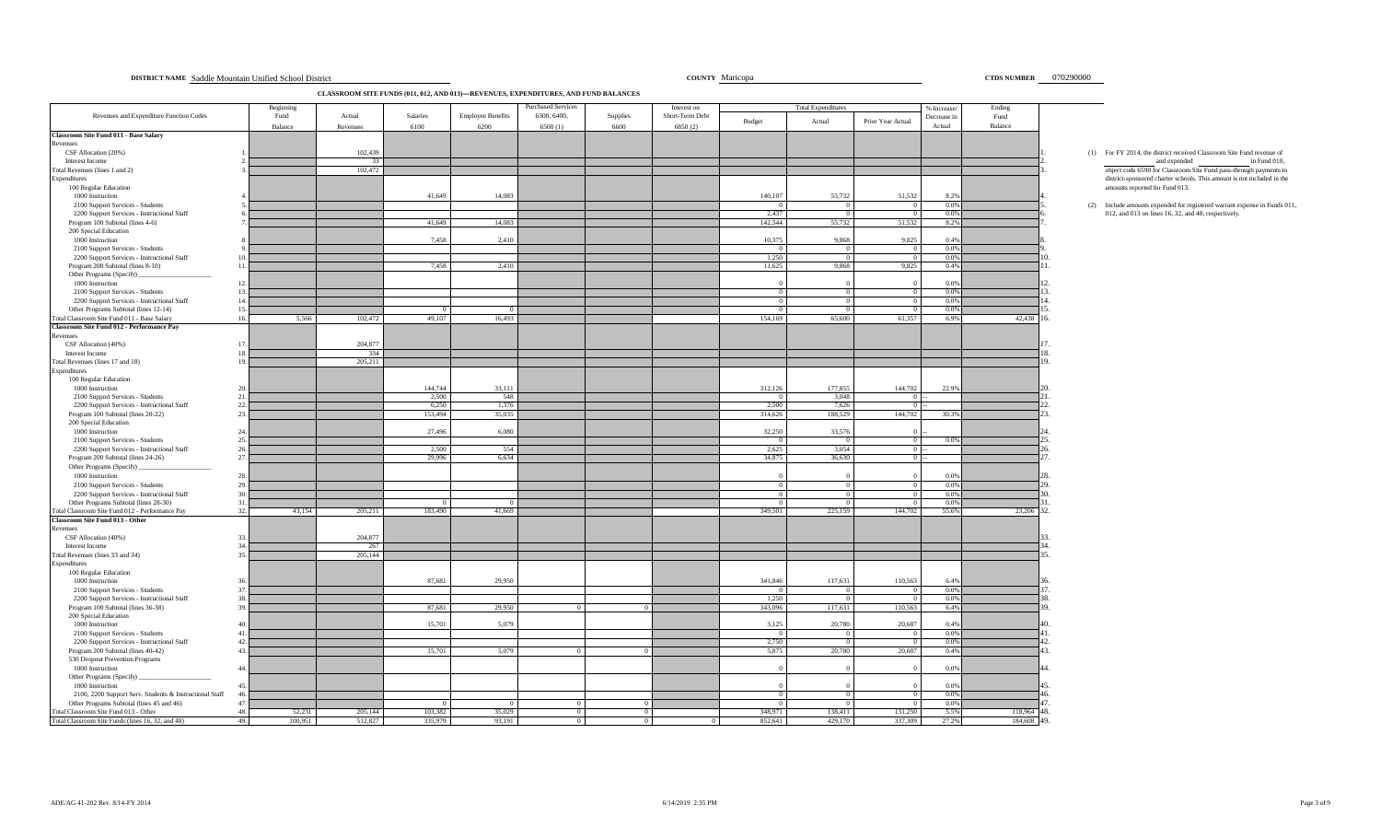#### ADE/AG 41-202 Rev. 8/14-FY 2014  $^{\rm 202}$  Rev. 8/14-FY 2014  $^{\rm 203}$  PM  $^{\rm 204}$  Page 3 of 9

| CLASSROOM SITE FUNDS (011, 012, AND 013)-REVENUES, EXPENDITURES, AND FUND BALANCES |
|------------------------------------------------------------------------------------|
|------------------------------------------------------------------------------------|

|                                                                                            |            | Beginning |                |                  |                          | urchased Services |          | Interest on     |                   | <b>Total Expenditures</b> |                        | % Increase/  | Ending      |                                                                          |
|--------------------------------------------------------------------------------------------|------------|-----------|----------------|------------------|--------------------------|-------------------|----------|-----------------|-------------------|---------------------------|------------------------|--------------|-------------|--------------------------------------------------------------------------|
| Revenues and Expenditure Function Codes                                                    |            | Fund      | Actual         | Salaries         | <b>Employee Benefits</b> | 6300, 6400,       | Supplies | Short-Term Debt | Budget            | Actual                    | Prior Year Actual      | Decrease in  | Fund        |                                                                          |
|                                                                                            |            | Balance   | Revenues       | 6100             | 6200                     | 6500(1)           | 6600     | 6850(2)         |                   |                           |                        | Actual       | Balance     |                                                                          |
| <b>Classroom Site Fund 011 - Base Salary</b>                                               |            |           |                |                  |                          |                   |          |                 |                   |                           |                        |              |             |                                                                          |
| Revenues<br>CSF Allocation (20%)                                                           |            |           | 102,439        |                  |                          |                   |          |                 |                   |                           |                        |              |             | (1) For FY 2014, the district received Classroom Site Fund revenue of    |
| Interest Income                                                                            |            |           | 33             |                  |                          |                   |          |                 |                   |                           |                        |              |             | and expended<br>in Fund 010,                                             |
| Total Revenues (lines 1 and 2)                                                             |            |           | 102.472        |                  |                          |                   |          |                 |                   |                           |                        |              |             | object code 6590 for Classroom Site Fund pass-through payments to        |
| Expenditures                                                                               |            |           |                |                  |                          |                   |          |                 |                   |                           |                        |              |             | district-sponsored charter schools. This amount is not included in the   |
| 100 Regular Education                                                                      |            |           |                |                  |                          |                   |          |                 |                   |                           |                        |              |             | amounts reported for Fund 013.                                           |
| 1000 Instruction                                                                           |            |           |                | 41,649           | 14,083                   |                   |          |                 | 140,107           | 55,732                    | 51,532                 | 8.2%         |             |                                                                          |
| 2100 Support Services - Students                                                           |            |           |                |                  |                          |                   |          |                 | $\Omega$<br>2.437 | $\Omega$<br>$\Omega$      | $\Omega$<br>$\sqrt{ }$ | 0.0%<br>0.0% |             | (2) Include amounts expended for registered warrant expense in Funds 011 |
| 2200 Support Services - Instructional Staff<br>Program 100 Subtotal (lines 4-6)            |            |           |                | 41,649           | 14,083                   |                   |          |                 | 142,544           | 55,732                    | 51,532                 | 8.2%         |             | 012, and 013 on lines 16, 32, and 48, respectively.                      |
| 200 Special Education                                                                      |            |           |                |                  |                          |                   |          |                 |                   |                           |                        |              |             |                                                                          |
| 1000 Instruction                                                                           |            |           |                | 7,458            | 2,410                    |                   |          |                 | 10,375            | 9,868                     | 9,825                  | 0.4%         |             |                                                                          |
| 2100 Support Services - Students                                                           |            |           |                |                  |                          |                   |          |                 | $\Omega$          | $\Omega$                  |                        | 0.0%         |             |                                                                          |
| 2200 Support Services - Instructional Staff                                                | 10         |           |                |                  |                          |                   |          |                 | 1.250             | $\Omega$                  | $\Omega$               | 0.0%         |             |                                                                          |
| Program 200 Subtotal (lines 8-10)                                                          | 11         |           |                | 7.458            | 2.410                    |                   |          |                 | 11,625            | 9,868                     | 9,825                  | 0.4%         |             |                                                                          |
| Other Programs (Specify)<br>1000 Instruction                                               | 12.        |           |                |                  |                          |                   |          |                 |                   |                           |                        | 0.0%         |             |                                                                          |
| 2100 Support Services - Students                                                           | 13.        |           |                |                  |                          |                   |          |                 | $^{(1)}$          | $^{\circ}$                |                        | 0.0%         |             |                                                                          |
| 2200 Support Services - Instructional Staff                                                | 14         |           |                |                  |                          |                   |          |                 | $\Omega$          | $\Omega$                  |                        | 0.0%         |             |                                                                          |
| Other Programs Subtotal (lines 12-14)                                                      | 15.        |           |                |                  |                          |                   |          |                 | $\Omega$          | $\Omega$                  | $\Omega$               | 0.0%         |             |                                                                          |
| Total Classroom Site Fund 011 - Base Salary                                                | 16.        | 5,566     | 102,472        | 49,107           | 16,493                   |                   |          |                 | 154,169           | 65,600                    | 61,357                 | 6.9%         | 42,438      |                                                                          |
| Classroom Site Fund 012 - Performance Pay                                                  |            |           |                |                  |                          |                   |          |                 |                   |                           |                        |              |             |                                                                          |
| Revenues                                                                                   |            |           | 204,877        |                  |                          |                   |          |                 |                   |                           |                        |              |             |                                                                          |
| CSF Allocation (40%)<br>Interest Income                                                    | 17.<br>18  |           | 334            |                  |                          |                   |          |                 |                   |                           |                        |              |             |                                                                          |
| Total Revenues (lines 17 and 18)                                                           | 19         |           | 205,211        |                  |                          |                   |          |                 |                   |                           |                        |              |             |                                                                          |
| Expenditures                                                                               |            |           |                |                  |                          |                   |          |                 |                   |                           |                        |              |             |                                                                          |
| 100 Regular Education                                                                      |            |           |                |                  |                          |                   |          |                 |                   |                           |                        |              |             |                                                                          |
| 1000 Instruction                                                                           | 20         |           |                | 144,744          | 33,111                   |                   |          |                 | 312,126           | 177,855                   | 144,702                | 22.9%        |             |                                                                          |
| 2100 Support Services - Students                                                           | 21         |           |                | 2,500            | 548                      |                   |          |                 | $^{\circ}$        | 3,048                     | $\Omega$               |              |             |                                                                          |
| 2200 Support Services - Instructional Staff<br>Program 100 Subtotal (lines 20-22)          | 22.<br>23. |           |                | 6,250<br>153,494 | 1,376<br>35,035          |                   |          |                 | 2,500<br>314,626  | 7,626<br>188,529          | $\Omega$<br>144,702    | 30.3%        |             |                                                                          |
| 200 Special Education                                                                      |            |           |                |                  |                          |                   |          |                 |                   |                           |                        |              |             |                                                                          |
| 1000 Instruction                                                                           | 24.        |           |                | 27,496           | 6.080                    |                   |          |                 | 32,250            | 33,576                    |                        |              |             |                                                                          |
| 2100 Support Services - Students                                                           | 25.        |           |                |                  |                          |                   |          |                 | $\Omega$          | $\Omega$                  | $\Omega$               | 0.0%         |             |                                                                          |
| 2200 Support Services - Instructional Staff                                                | 26.        |           |                | 2,500            | 554                      |                   |          |                 | 2,625             | 3,054                     | $\Omega$               |              |             |                                                                          |
| Program 200 Subtotal (lines 24-26)                                                         | 27.        |           |                | 29,996           | 6,634                    |                   |          |                 | 34,875            | 36,630                    |                        |              |             |                                                                          |
| Other Programs (Specify)                                                                   |            |           |                |                  |                          |                   |          |                 |                   |                           |                        |              |             |                                                                          |
| 1000 Instruction                                                                           | 28.<br>29. |           |                |                  |                          |                   |          |                 |                   | $\Omega$                  | $\Omega$               | 0.0%         |             |                                                                          |
| 2100 Support Services - Students<br>2200 Support Services - Instructional Staff            | 30         |           |                |                  |                          |                   |          |                 | $\Omega$          | $\overline{0}$            |                        | 0.0%<br>0.0% |             |                                                                          |
| Other Programs Subtotal (lines 28-30)                                                      | 31.        |           |                |                  | $\Omega$                 |                   |          |                 | $\overline{0}$    | $\overline{0}$            | $\overline{0}$         | 0.0%         |             |                                                                          |
| Total Classroom Site Fund 012 - Performance Pay                                            | 32.        | 43,154    | 205,211        | 183,490          | 41,669                   |                   |          |                 | 349,501           | 225,159                   | 144,702                | 55.6%        | 23,206      | 32                                                                       |
| Classroom Site Fund 013 - Other                                                            |            |           |                |                  |                          |                   |          |                 |                   |                           |                        |              |             |                                                                          |
| Revenues                                                                                   |            |           |                |                  |                          |                   |          |                 |                   |                           |                        |              |             |                                                                          |
| CSF Allocation (40%)<br>Interest Income                                                    | 33.<br>34  |           | 204,877        |                  |                          |                   |          |                 |                   |                           |                        |              |             |                                                                          |
| Total Revenues (lines 33 and 34)                                                           | 35.        |           | 267<br>205,144 |                  |                          |                   |          |                 |                   |                           |                        |              |             |                                                                          |
| Expenditures                                                                               |            |           |                |                  |                          |                   |          |                 |                   |                           |                        |              |             |                                                                          |
| 100 Regular Education                                                                      |            |           |                |                  |                          |                   |          |                 |                   |                           |                        |              |             |                                                                          |
| 1000 Instruction                                                                           | 36         |           |                | 87,681           | 29,950                   |                   |          |                 | 341,846           | 117,631                   | 110.563                | 6.4%         |             |                                                                          |
| 2100 Support Services - Students                                                           | 37.        |           |                |                  |                          |                   |          |                 | $\overline{0}$    | $\Omega$                  | $\Omega$               | 0.0%         |             |                                                                          |
| 2200 Support Services - Instructional Staff                                                | 38.<br>39. |           |                | 87,681           | 29,950                   |                   |          |                 | 1,250<br>343,096  | $\Omega$<br>117,631       | $\Omega$<br>110,563    | 0.0%<br>6.4% |             |                                                                          |
| Program 100 Subtotal (lines 36-38)<br>200 Special Education                                |            |           |                |                  |                          |                   |          |                 |                   |                           |                        |              |             |                                                                          |
| 1000 Instruction                                                                           | 40         |           |                | 15,701           | 5,079                    |                   |          |                 | 3,125             | 20,780                    | 20,687                 | 0.4%         |             |                                                                          |
| 2100 Support Services - Students                                                           | 41.        |           |                |                  |                          |                   |          |                 | $^{\circ}$        | $^{\circ}$                |                        | 0.0%         |             |                                                                          |
| 2200 Support Services - Instructional Staff                                                | 42         |           |                |                  |                          |                   |          |                 | 2,750             | $\overline{0}$            | $\Omega$               | 0.0%         |             |                                                                          |
| Program 200 Subtotal (lines 40-42)                                                         | 43.        |           |                | 15,701           | 5,079                    |                   |          |                 | 5,875             | 20,780                    | 20,687                 | 0.4%         |             |                                                                          |
| 530 Dropout Prevention Programs                                                            |            |           |                |                  |                          |                   |          |                 |                   |                           |                        |              |             |                                                                          |
| 1000 Instruction<br>Other Programs (Specify)                                               | 44.        |           |                |                  |                          |                   |          |                 |                   |                           |                        | 0.0%         |             |                                                                          |
| 1000 Instruction                                                                           | 45.        |           |                |                  |                          |                   |          |                 |                   |                           |                        | 0.0%         |             | 15                                                                       |
| 2100, 2200 Support Serv. Students & Instructional Staff                                    | 46         |           |                |                  |                          |                   |          |                 | $\Omega$          | $\Omega$                  | $^{\circ}$             | 0.0%         |             | 16                                                                       |
| Other Programs Subtotal (lines 45 and 46)                                                  | 47.        |           |                |                  | $\Omega$                 |                   |          |                 | $\Omega$          | $^{\circ}$                |                        | 0.0%         |             |                                                                          |
| Total Classroom Site Fund 013 - Other<br>Total Classroom Site Funds (lines 16, 32, and 48) | 48.        | 52,231    | 205,144        | 103,382          | 35,029                   | $\Omega$          |          |                 | 348,971           | 138,411                   | 131,250                | 5.5%         | 118,964     | 48                                                                       |
|                                                                                            | 49.        | 100.951   | 512,827        | 335,979          | 93.191                   |                   |          |                 | 852.641           | 429,170                   | 337.309                | 27.2%        | 184,608 49. |                                                                          |

**DISTRICT NAME Saddle Mountain Unified School District 6000 and School District COUNTY Maricopa 6000 and School District 6070290000 and School District 6070290000 and School District 6070290000 and School District 60702900**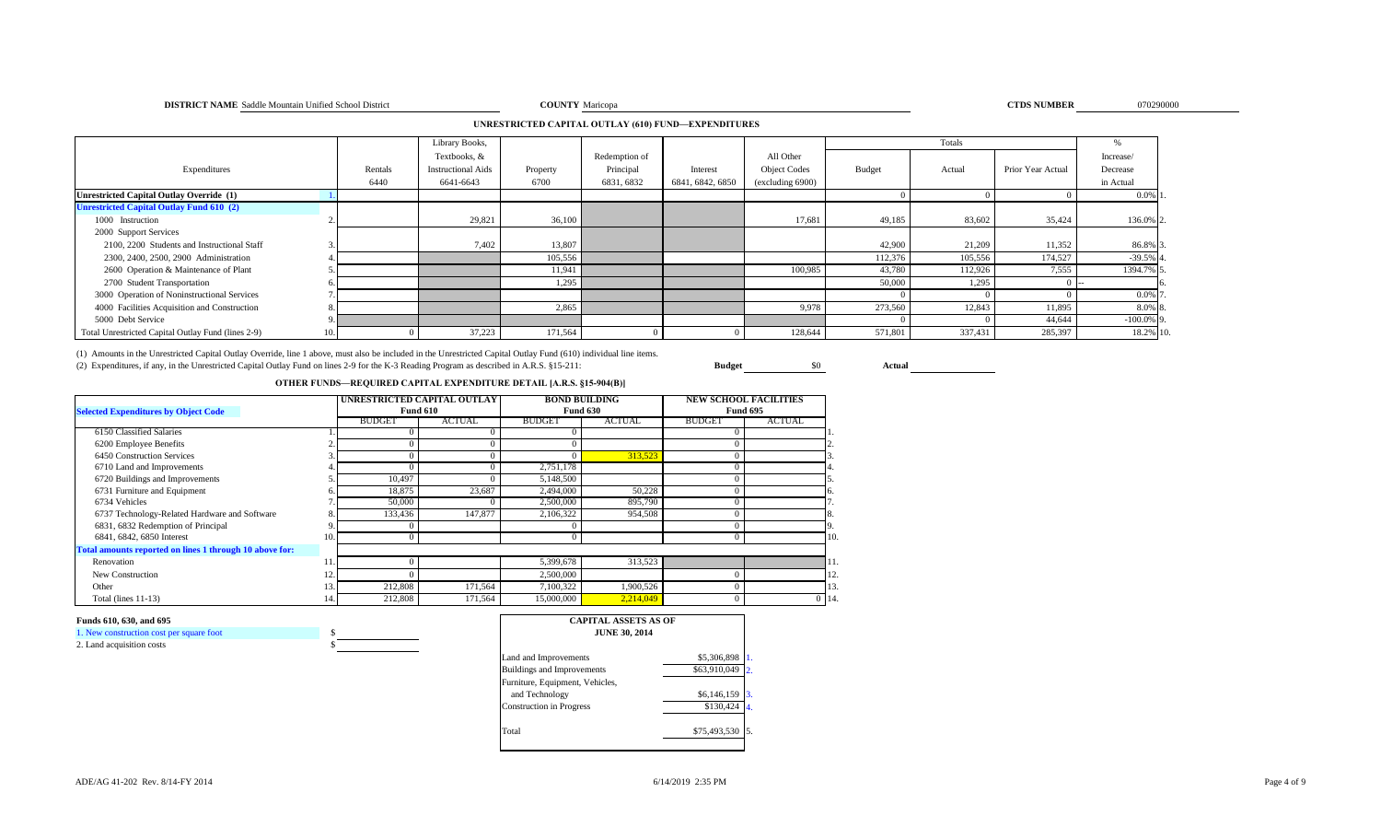#### **DISTRICT NAME** Saddle Mountain Unified School District **COUNTY COUNTY** Maricopa **COUNTY COUNTY COUNTY COUNTY COUNTY COUNTY COUNTY COUNTY COUNTY COUNTY COUNTY COUNTY COUNTY COUNTY COUNTY COU**

**COUNTY** Maricopa **070290000 CTDS NUMBER** 070290000

### **UNRESTRICTED CAPITAL OUTLAY (610) FUND—EXPENDITURES**

|                                                    |         | Library Books,            |          |               |                  |                     |         | Totals  |                   |              |
|----------------------------------------------------|---------|---------------------------|----------|---------------|------------------|---------------------|---------|---------|-------------------|--------------|
|                                                    |         | Textbooks, &              |          | Redemption of |                  | All Other           |         |         |                   | Increase/    |
| Expenditures                                       | Rentals | <b>Instructional Aids</b> | Property | Principal     | Interest         | <b>Object Codes</b> | Budget  | Actual  | Prior Year Actual | Decrease     |
|                                                    | 6440    | 6641-6643                 | 6700     | 6831, 6832    | 6841, 6842, 6850 | (excluding 6900)    |         |         |                   | in Actual    |
| <b>Unrestricted Capital Outlay Override (1)</b>    |         |                           |          |               |                  |                     |         |         |                   | $0.0\%$ 1.   |
| <b>Unrestricted Capital Outlay Fund 610 (2)</b>    |         |                           |          |               |                  |                     |         |         |                   |              |
| 1000 Instruction                                   |         | 29,821                    | 36,100   |               |                  | 17,681              | 49,185  | 83,602  | 35,424            | 136.0% 2.    |
| 2000 Support Services                              |         |                           |          |               |                  |                     |         |         |                   |              |
| 2100, 2200 Students and Instructional Staff        |         | 7,402                     | 13,807   |               |                  |                     | 42,900  | 21,209  | 11,352            | 86.8% 3      |
| 2300, 2400, 2500, 2900 Administration              |         |                           | 105,556  |               |                  |                     | 112,376 | 105,556 | 174,527           | $-39.5%$ 4   |
| 2600 Operation & Maintenance of Plant              |         |                           | 11,941   |               |                  | 100,985             | 43,780  | 112,926 | 7,555             | 1394.7% 5    |
| 2700 Student Transportation                        |         |                           | 1,295    |               |                  |                     | 50,000  | 1,295   |                   |              |
| 3000 Operation of Noninstructional Services        |         |                           |          |               |                  |                     |         |         |                   | 0.0% 7       |
| 4000 Facilities Acquisition and Construction       |         |                           | 2,865    |               |                  | 9,978               | 273,560 | 12,843  | 11,895            | 8.0% 8.      |
| 5000 Debt Service                                  |         |                           |          |               |                  |                     |         |         | 44,644            | $-100.0\%$ 9 |
| Total Unrestricted Capital Outlay Fund (lines 2-9) |         | 37,223                    | 171,564  |               |                  | 128,644             | 571,801 | 337,431 | 285,397           | 18.2% 10.    |

(1) Amounts in the Unrestricted Capital Outlay Override, line 1 above, must also be included in the Unrestricted Capital Outlay Fund (610) individual line items.

(2) Expenditures, if any, in the Unrestricted Capital Outlay Fund on lines 2-9 for the K-3 Reading Program as described in A.R.S. §15-211: **Budget** \$0 **Actual**

### **OTHER FUNDS—REQUIRED CAPITAL EXPENDITURE DETAIL [A.R.S. §15-904(B)]**

|                                                         |     |               | UNRESTRICTED CAPITAL OUTLAY |               | <b>BOND BUILDING</b> | <b>NEW SCHOOL FACILITIES</b> |               |         |  |
|---------------------------------------------------------|-----|---------------|-----------------------------|---------------|----------------------|------------------------------|---------------|---------|--|
| <b>Selected Expenditures by Object Code</b>             |     |               | <b>Fund 610</b>             |               | <b>Fund 630</b>      | <b>Fund 695</b>              |               |         |  |
|                                                         |     | <b>BUDGET</b> | <b>ACTUAL</b>               | <b>BUDGET</b> | <b>ACTUAL</b>        | <b>BUDGET</b>                | <b>ACTUAL</b> |         |  |
| 6150 Classified Salaries                                |     |               |                             |               |                      |                              |               |         |  |
| 6200 Employee Benefits                                  |     |               |                             |               |                      |                              |               |         |  |
| 6450 Construction Services                              |     |               |                             |               | 313,523              |                              |               |         |  |
| 6710 Land and Improvements                              |     |               |                             | 2,751,178     |                      |                              |               |         |  |
| 6720 Buildings and Improvements                         |     | 10,497        |                             | 5,148,500     |                      |                              |               |         |  |
| 6731 Furniture and Equipment                            |     | 18,875        | 23,687                      | 2,494,000     | 50,228               |                              |               |         |  |
| 6734 Vehicles                                           |     | 50,000        |                             | 2,500,000     | 895,790              |                              |               |         |  |
| 6737 Technology-Related Hardware and Software           |     | 133,436       | 147,877                     | 2,106,322     | 954,508              |                              |               |         |  |
| 6831, 6832 Redemption of Principal                      |     |               |                             |               |                      |                              |               |         |  |
| 6841, 6842, 6850 Interest                               | 10. |               |                             |               |                      |                              |               | 10      |  |
| Total amounts reported on lines 1 through 10 above for: |     |               |                             |               |                      |                              |               |         |  |
| Renovation                                              |     |               |                             | 5,399,678     | 313,523              |                              |               |         |  |
| New Construction                                        |     |               |                             | 2,500,000     |                      |                              |               | 12.     |  |
| Other                                                   | 15  | 212,808       | 171,564                     | 7,100,322     | 1,900,526            |                              |               | 13      |  |
| Total (lines $11-13$ )                                  |     | 212,808       | 171,564                     | 15,000,000    | 2,214,049            |                              |               | $0\,14$ |  |

#### **Funds 610, 630, and 695**

| 1. New construction cost per square foot |  |
|------------------------------------------|--|
| 2. Land acquisition costs                |  |

| <b>CAPITAL ASSETS AS OF</b><br><b>JUNE 30, 2014</b> |              |  |  |  |  |  |  |  |  |
|-----------------------------------------------------|--------------|--|--|--|--|--|--|--|--|
| Land and Improvements                               | \$5,306,898  |  |  |  |  |  |  |  |  |
| Buildings and Improvements                          | \$63,910,049 |  |  |  |  |  |  |  |  |
| Furniture, Equipment, Vehicles,                     |              |  |  |  |  |  |  |  |  |
| and Technology                                      | \$6,146,159  |  |  |  |  |  |  |  |  |
| <b>Construction</b> in Progress                     | \$130.424    |  |  |  |  |  |  |  |  |
|                                                     |              |  |  |  |  |  |  |  |  |
| Total                                               | \$75,493,530 |  |  |  |  |  |  |  |  |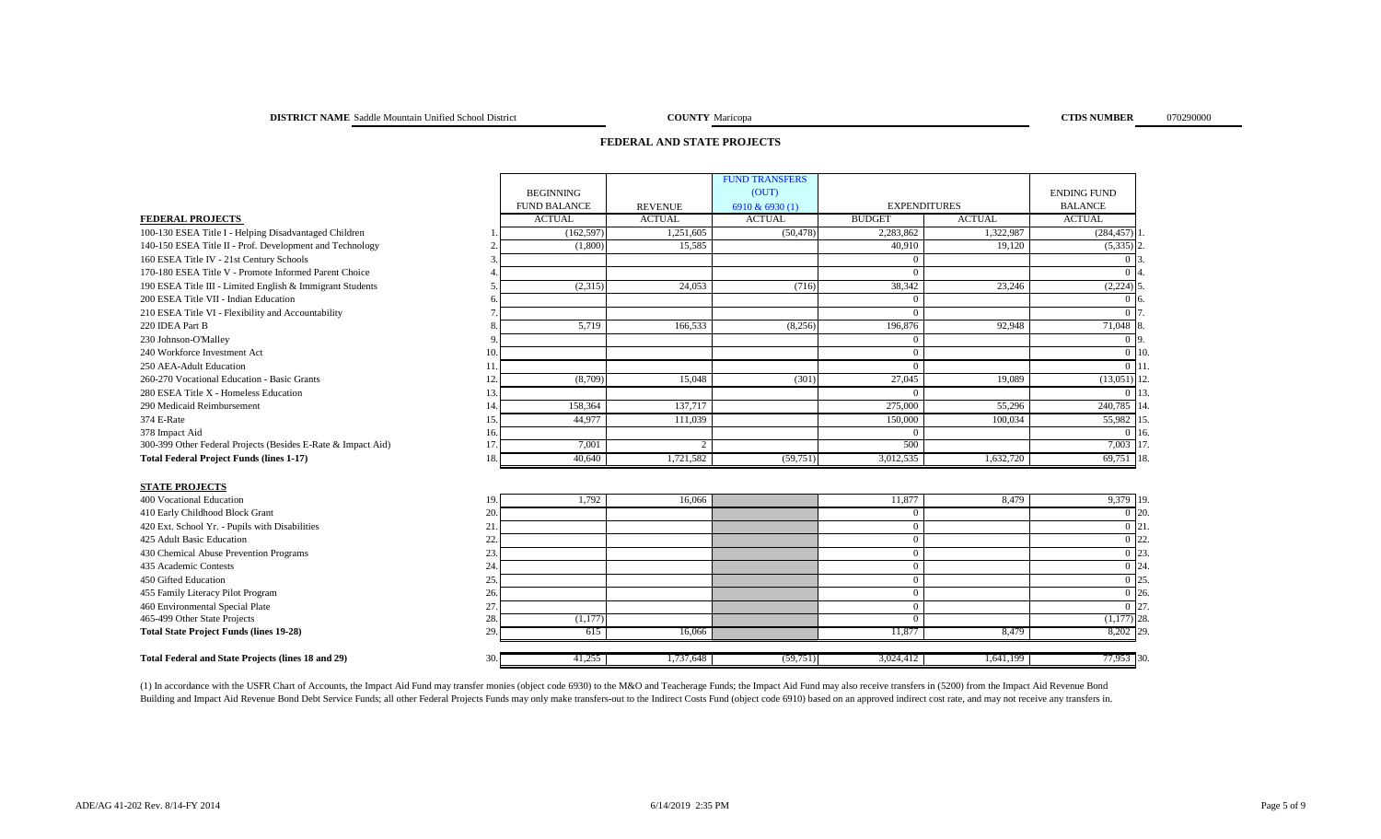## **FEDERAL AND STATE PROJECTS**

|                                                              |                     |                | <b>FUND TRANSFERS</b> |                     |               |                    |  |
|--------------------------------------------------------------|---------------------|----------------|-----------------------|---------------------|---------------|--------------------|--|
|                                                              | <b>BEGINNING</b>    |                | (OUT)                 |                     |               | <b>ENDING FUND</b> |  |
|                                                              | <b>FUND BALANCE</b> | <b>REVENUE</b> | 6910 & 6930 (1)       | <b>EXPENDITURES</b> |               | <b>BALANCE</b>     |  |
| <b>FEDERAL PROJECTS</b>                                      | <b>ACTUAL</b>       | <b>ACTUAL</b>  | <b>ACTUAL</b>         | <b>BUDGET</b>       | <b>ACTUAL</b> | <b>ACTUAL</b>      |  |
| 100-130 ESEA Title I - Helping Disadvantaged Children        | (162, 597)          | 1,251,605      | (50, 478)             | 2,283,862           | 1,322,987     | (284, 457)         |  |
| 140-150 ESEA Title II - Prof. Development and Technology     | (1,800)             | 15,585         |                       | 40,910              | 19,120        | $(5,335)$ 2        |  |
| 160 ESEA Title IV - 21st Century Schools                     |                     |                |                       | $\Omega$            |               | 0 13               |  |
| 170-180 ESEA Title V - Promote Informed Parent Choice        |                     |                |                       | $\Omega$            |               | $\Omega$           |  |
| 190 ESEA Title III - Limited English & Immigrant Students    | (2,315)             | 24,053         | (716)                 | 38,342              | 23,246        | $(2,224)$ 5        |  |
| 200 ESEA Title VII - Indian Education                        |                     |                |                       | $\Omega$            |               | 016                |  |
| 210 ESEA Title VI - Flexibility and Accountability           |                     |                |                       | $\Omega$            |               | 0 <sub>17</sub>    |  |
| 220 IDEA Part B                                              | 5,719               | 166,533        | (8,256)               | 196,876             | 92,948        | 71,048 8           |  |
| 230 Johnson-O'Malley                                         |                     |                |                       | $\theta$            |               | 0 <sub>0</sub>     |  |
| 240 Workforce Investment Act                                 | 10.                 |                |                       | $\mathbf{0}$        |               | $0\vert10$         |  |
| 250 AEA-Adult Education                                      | 11                  |                |                       | $\theta$            |               | $0\vert11$         |  |
| 260-270 Vocational Education - Basic Grants                  | (8,709)<br>12.      | 15,048         | (301)                 | 27,045              | 19,089        | $(13,051)$ 12      |  |
| 280 ESEA Title X - Homeless Education                        | 13.                 |                |                       | $\Omega$            |               | 0.113              |  |
| 290 Medicaid Reimbursement                                   | 158,364<br>14       | 137,717        |                       | 275,000             | 55,296        | 240,785 14         |  |
| 374 E-Rate                                                   | 44,977<br>15.       | 111,039        |                       | 150,000             | 100,034       | 55,982 15          |  |
| 378 Impact Aid                                               | 16.                 |                |                       | $\theta$            |               | 0.116              |  |
| 300-399 Other Federal Projects (Besides E-Rate & Impact Aid) | 17.<br>7,001        |                |                       | 500                 |               | 7,003 17           |  |
| <b>Total Federal Project Funds (lines 1-17)</b>              | 40,640<br>18.       | 1,721,582      | (59,751)              | 3,012,535           | 1,632,720     | 69,751 18.         |  |
| <b>STATE PROJECTS</b>                                        |                     |                |                       |                     |               |                    |  |
| 400 Vocational Education                                     | 1,792<br>19.        | 16,066         |                       | 11,877              | 8,479         | 9,379 19.          |  |
| 410 Early Childhood Block Grant                              | 20.                 |                |                       | $\theta$            |               | $\overline{0}$ 20. |  |
| 420 Ext. School Yr. - Pupils with Disabilities               | 21                  |                |                       | $\mathbf{0}$        |               | $\overline{0}$ 21  |  |
| 425 Adult Basic Education                                    | 22                  |                |                       | $\theta$            |               | $\overline{0}$ 22  |  |
| 430 Chemical Abuse Prevention Programs                       | 23.                 |                |                       | $\mathbf{0}$        |               | 0 23               |  |
| 435 Academic Contests                                        | 24.                 |                |                       | $\mathbf{0}$        |               | $\overline{0}$ 24  |  |
| 450 Gifted Education                                         | 25.                 |                |                       | $\theta$            |               | $\overline{0}$ 25  |  |
| 455 Family Literacy Pilot Program                            | 26.                 |                |                       | $\mathbf{0}$        |               | $\overline{0}$ 26. |  |
| 460 Environmental Special Plate                              | 27.                 |                |                       | $\theta$            |               | $0$ 27             |  |
| 465-499 Other State Projects                                 | 28.<br>(1,177)      |                |                       | $\Omega$            |               | $(1,177)$ 28.      |  |
| <b>Total State Project Funds (lines 19-28)</b>               | 29<br>615           | 16,066         |                       | 11,877              | 8,479         | 8,202 29           |  |
|                                                              |                     |                |                       |                     |               |                    |  |
| Total Federal and State Projects (lines 18 and 29)           | 41,255<br>30.       | 1,737,648      | (59,751)              | 3,024,412           | 1,641,199     | 77,953 30.         |  |

(1) In accordance with the USFR Chart of Accounts, the Impact Aid Fund may transfer monies (object code 6930) to the M&O and Teacherage Funds; the Impact Aid Fund may also receive transfers in (5200) from the Impact Aid Re Building and Impact Aid Revenue Bond Debt Service Funds; all other Federal Projects Funds may only make transfers-out to the Indirect Costs Fund (object code 6910) based on an approved indirect cost rate, and may not recei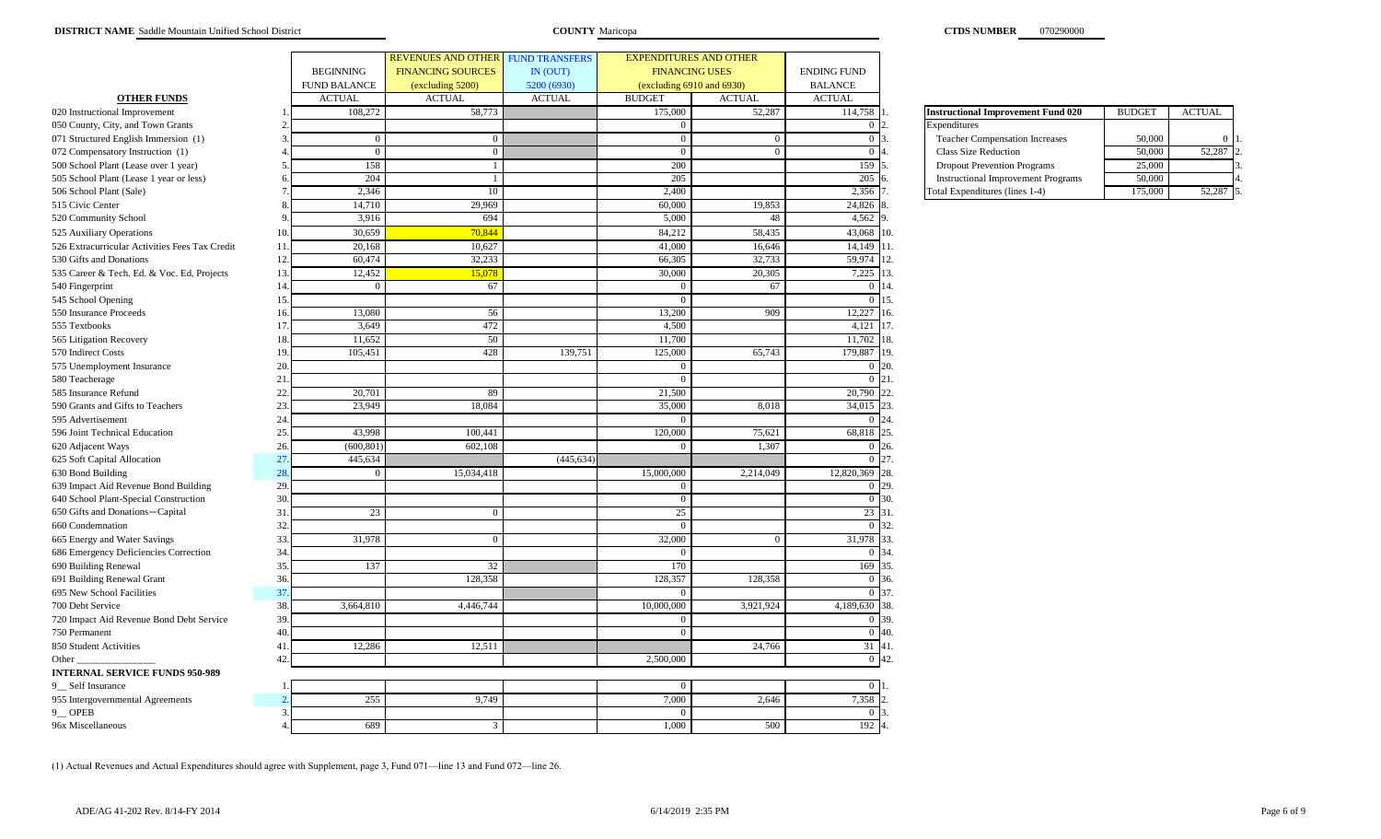|                                                |     |                     | <b>REVENUES AND OTHER</b> | <b>FUND TRANSFERS</b> | <b>EXPENDITURES AND OTHER</b>  |               |                    |                                           |               |               |
|------------------------------------------------|-----|---------------------|---------------------------|-----------------------|--------------------------------|---------------|--------------------|-------------------------------------------|---------------|---------------|
|                                                |     | <b>BEGINNING</b>    | <b>FINANCING SOURCES</b>  | IN (OUT)              | <b>FINANCING USES</b>          |               | <b>ENDING FUND</b> |                                           |               |               |
|                                                |     | <b>FUND BALANCE</b> | (excluding 5200)          | 5200 (6930)           | (excluding $6910$ and $6930$ ) |               | <b>BALANCE</b>     |                                           |               |               |
| <b>OTHER FUNDS</b>                             |     | <b>ACTUAL</b>       | <b>ACTUAL</b>             | <b>ACTUAL</b>         | <b>BUDGET</b>                  | <b>ACTUAL</b> | <b>ACTUAL</b>      |                                           |               |               |
| 020 Instructional Improvement                  |     | 108,272             | 58,773                    |                       | 175,000                        | 52,287        | 114,758            | <b>Instructional Improvement Fund 020</b> | <b>BUDGET</b> | <b>ACTUAL</b> |
| 050 County, City, and Town Grants              |     |                     |                           |                       |                                |               | $\Omega$           | Expenditures                              |               |               |
| 071 Structured English Immersion (1)           |     | $\overline{0}$      |                           |                       | $\overline{0}$                 | $\Omega$      | $\overline{0}$     | <b>Teacher Compensation Increases</b>     | 50,000        |               |
| 072 Compensatory Instruction (1)               |     | $\overline{0}$      | $\Omega$                  |                       | $\overline{0}$                 | $\Omega$      | $\overline{0}$     | Class Size Reduction                      | 50,000        | 52,287        |
| 500 School Plant (Lease over 1 year)           |     | 158                 |                           |                       | 200                            |               | 159                | <b>Dropout Prevention Programs</b>        | 25,000        |               |
| 505 School Plant (Lease 1 year or less)        |     | 204                 |                           |                       | 205                            |               | 205                | <b>Instructional Improvement Programs</b> | 50,000        |               |
| 506 School Plant (Sale)                        |     | 2,346               | 10                        |                       | 2,400                          |               | 2,356              | Total Expenditures (lines 1-4)            | 175,000       | 52,287        |
| 515 Civic Center                               |     | 14,710              | 29,969                    |                       | 60,000                         | 19,853        | 24,826             |                                           |               |               |
| 520 Community School                           |     | 3,916               | 694                       |                       | 5,000                          | 48            | 4,562              |                                           |               |               |
| 525 Auxiliary Operations                       | 10. | 30.659              | 70.844                    |                       | 84,212                         | 58,435        | 43,068             | 10.                                       |               |               |
| 526 Extracurricular Activities Fees Tax Credit | 11  | 20,168              | 10,62                     |                       | 41,000                         | 16,646        | 14,149             | 11.                                       |               |               |
| 530 Gifts and Donations                        | 12. | 60,474              | 32,233                    |                       | 66,305                         | 32,733        | 59,974             | 12.                                       |               |               |
| 535 Career & Tech. Ed. & Voc. Ed. Projects     | 13. | 12,452              | 15,078                    |                       | 30,000                         | 20,305        | 7,225              | 13.                                       |               |               |
| 540 Fingerprint                                | 14  | $\theta$            | 67                        |                       | $\Omega$                       | 67            | $\mathbf{0}$       | 14.                                       |               |               |
| 545 School Opening                             | 15. |                     |                           |                       |                                |               | $\Omega$           | 15.                                       |               |               |
| 550 Insurance Proceeds                         | 16  | 13,080              | 56                        |                       | 13,200                         | 909           | 12,227             | 16.                                       |               |               |
| 555 Textbooks                                  | 17. | 3,649               | 472                       |                       | 4,500                          |               | 4,121              | 17.                                       |               |               |
| 565 Litigation Recovery                        | 18  | 11,652              | 50                        |                       | 11,700                         |               | 11,702             | 18.                                       |               |               |
| 570 Indirect Costs                             | 19  | 105,451             | 428                       | 139,751               | 125,000                        | 65,743        | 179,887            | 19.                                       |               |               |
| 575 Unemployment Insurance                     | 20  |                     |                           |                       |                                |               | $\Omega$           | 20.                                       |               |               |
| 580 Teacherage                                 | 21  |                     |                           |                       | $\Omega$                       |               | $\overline{0}$     | 21.                                       |               |               |
| 585 Insurance Refund                           | 22  | 20,701              | 89                        |                       | 21,500                         |               | 20,790             | 22.                                       |               |               |
| 590 Grants and Gifts to Teachers               | 23  | 23,949              | 18,084                    |                       | 35,000                         | 8,018         | 34,015             | 23.                                       |               |               |
| 595 Advertisement                              | 24  |                     |                           |                       | - 0                            |               | $\Omega$           | 24.                                       |               |               |
| 596 Joint Technical Education                  | 25  | 43,998              | 100,441                   |                       | 120,000                        | 75,621        | 68,818             | 25.                                       |               |               |
| 620 Adjacent Ways                              | 26  | (600, 801)          | 602,108                   |                       | $\Omega$                       | 1,307         | $\overline{0}$     | 26.                                       |               |               |
| 625 Soft Capital Allocation                    | 27  | 445,634             |                           | (445, 634)            |                                |               | $\overline{0}$     | 27.                                       |               |               |
| 630 Bond Building                              | 28  | $\theta$            | 15,034,418                |                       | 15,000,000                     | 2,214,049     | 12,820,369         | 28.                                       |               |               |
| 639 Impact Aid Revenue Bond Building           | 29. |                     |                           |                       |                                |               | $\mathbf{0}$       | 29.                                       |               |               |
| 640 School Plant-Special Construction          | 30  |                     |                           |                       | $\Omega$                       |               | $\overline{0}$     | 30.                                       |               |               |
| 650 Gifts and Donations-Capital                | 31  | 23                  |                           |                       | 25                             |               | 23                 | 31.                                       |               |               |
| 660 Condemnation                               | 32  |                     |                           |                       |                                |               | $\overline{0}$     | 32.                                       |               |               |
| 665 Energy and Water Savings                   | 33. | 31,978              |                           |                       | 32,000                         | $\Omega$      | 31,978             | 33.                                       |               |               |
| 686 Emergency Deficiencies Correction          | 34  |                     |                           |                       |                                |               | $\mathbf{0}$       | 34.                                       |               |               |
| 690 Building Renewal                           | 35. | 137                 | 32                        |                       | 170                            |               | 169                | 35.                                       |               |               |
| 691 Building Renewal Grant                     | 36. |                     | 128,358                   |                       | 128,357                        | 128,358       | $\mathbf{0}$       | 36.                                       |               |               |
| 695 New School Facilities                      | 37  |                     |                           |                       | $\Omega$                       |               | $\Omega$           | 37.                                       |               |               |
| 700 Debt Service                               | 38  | 3,664,810           | 4,446,744                 |                       | 10,000,000                     | 3,921,924     | 4,189,630          | 38.                                       |               |               |
| 720 Impact Aid Revenue Bond Debt Service       | 39  |                     |                           |                       | $\Omega$                       |               | $\Omega$           | 39.                                       |               |               |
| 750 Permanent                                  | 40  |                     |                           |                       | - 0                            |               | $\overline{0}$     | 40.                                       |               |               |
| 850 Student Activities                         | 41  | 12,286              | 12,511                    |                       |                                | 24,766        | 31                 | 41.                                       |               |               |
| Other                                          | 42  |                     |                           |                       | 2,500,000                      |               | $\overline{0}$     | 42.                                       |               |               |
| <b>INTERNAL SERVICE FUNDS 950-989</b>          |     |                     |                           |                       |                                |               |                    |                                           |               |               |
| 9_Self Insurance                               |     |                     |                           |                       |                                |               | $\Omega$           |                                           |               |               |
| 955 Intergovernmental Agreements               |     | 255                 | 9,749                     |                       | 7,000                          | 2,646         | 7,358              |                                           |               |               |
| 9 OPEB                                         | 3   |                     |                           |                       |                                |               | $\Omega$           |                                           |               |               |
| 96x Miscellaneous                              |     | 689                 | $\mathcal{R}$             |                       | 1.000                          | 500           | 192                |                                           |               |               |

| <b>Instructional Improvement Fund 020</b> | <b>BUDGET</b> | <b>ACTUAL</b> |  |
|-------------------------------------------|---------------|---------------|--|
| Expenditures                              |               |               |  |
| <b>Teacher Compensation Increases</b>     | 50,000        |               |  |
| <b>Class Size Reduction</b>               | 50,000        | 52.287        |  |
| <b>Dropout Prevention Programs</b>        | 25,000        |               |  |
| <b>Instructional Improvement Programs</b> | 50,000        |               |  |
| Total Expenditures (lines 1-4)            | 175,000       | 52.28         |  |

(1) Actual Revenues and Actual Expenditures should agree with Supplement, page 3, Fund 071—line 13 and Fund 072—line 26.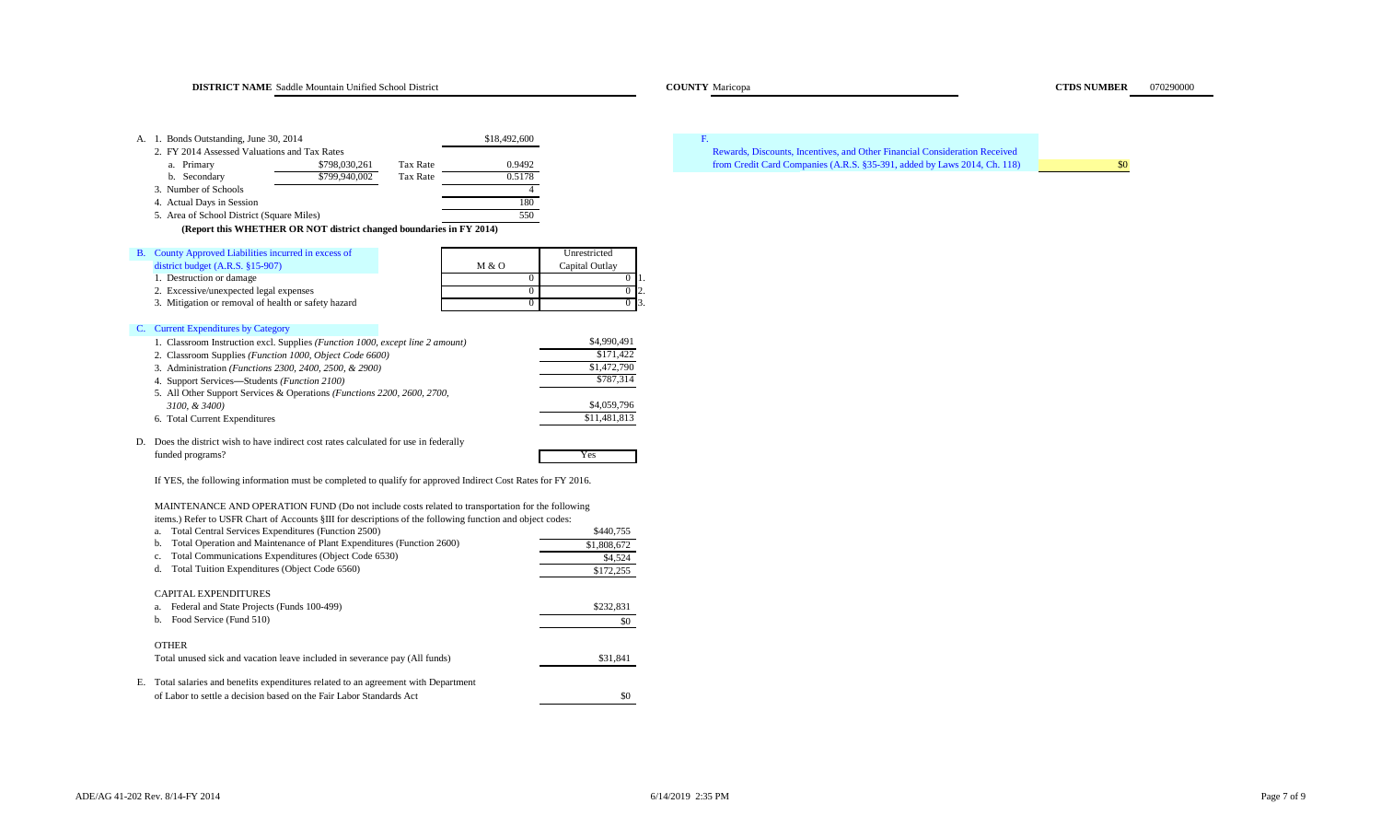**DISTRICT NAME** Saddle Mountain Unified School District **Maricopa COUNTY Maricopa COUNTY Maricopa COUNTY Maricopa COUNTY Maricopa COUNTY Maricopa COUNTY Maricopa COUNTY MARICOPA COUNTY MARICOPA COUNTY MAR** 

| A. 1. Bonds Outstanding, June 30, 2014<br>2. FY 2014 Assessed Valuations and Tax Rates<br>Tax Rate<br>a. Primary<br>\$798,030,261<br>Tax Rate<br>b. Secondary<br>\$799,940,002<br>3. Number of Schools<br>4. Actual Days in Session<br>5. Area of School District (Square Miles)<br>(Report this WHETHER OR NOT district changed boundaries in FY 2014)                                                                                                                                                                                                 | \$18,492,600<br>0.9492<br>0.5178<br>$\overline{4}$<br>180<br>550                                                                                                          | F.<br>Rewards, Discounts, Incentives, and Other Financial Consideration Received<br>from Credit Card Companies (A.R.S. §35-391, added by Laws 2014, Ch. 118) | \$0 |
|---------------------------------------------------------------------------------------------------------------------------------------------------------------------------------------------------------------------------------------------------------------------------------------------------------------------------------------------------------------------------------------------------------------------------------------------------------------------------------------------------------------------------------------------------------|---------------------------------------------------------------------------------------------------------------------------------------------------------------------------|--------------------------------------------------------------------------------------------------------------------------------------------------------------|-----|
| B. County Approved Liabilities incurred in excess of<br>district budget $(A.R.S. §15-907)$<br>1. Destruction or damage<br>2. Excessive/unexpected legal expenses<br>3. Mitigation or removal of health or safety hazard                                                                                                                                                                                                                                                                                                                                 | Unrestricted<br>M & O<br>Capital Outlay<br>$\overline{0}$<br>$\overline{0}$<br>$\overline{0}$<br>$\overline{0}$<br>$\overline{0}$<br>$\overline{0}$<br>$\mathbf{\hat{z}}$ |                                                                                                                                                              |     |
| C. Current Expenditures by Category<br>1. Classroom Instruction excl. Supplies (Function 1000, except line 2 amount)<br>2. Classroom Supplies (Function 1000, Object Code 6600)<br>3. Administration (Functions 2300, 2400, 2500, & 2900)<br>4. Support Services-Students (Function 2100)<br>5. All Other Support Services & Operations (Functions 2200, 2600, 2700,<br>3100, & 3400)<br>6. Total Current Expenditures                                                                                                                                  | \$4,990,491<br>\$171,422<br>\$1,472,790<br>\$787,314<br>\$4,059,796<br>\$11,481,813                                                                                       |                                                                                                                                                              |     |
| D. Does the district wish to have indirect cost rates calculated for use in federally<br>funded programs?<br>If YES, the following information must be completed to qualify for approved Indirect Cost Rates for FY 2016.                                                                                                                                                                                                                                                                                                                               | Yes                                                                                                                                                                       |                                                                                                                                                              |     |
| MAINTENANCE AND OPERATION FUND (Do not include costs related to transportation for the following<br>items.) Refer to USFR Chart of Accounts §III for descriptions of the following function and object codes:<br>Total Central Services Expenditures (Function 2500)<br>a.<br>Total Operation and Maintenance of Plant Expenditures (Function 2600)<br>b.<br>Total Communications Expenditures (Object Code 6530)<br>c.<br>Total Tuition Expenditures (Object Code 6560)<br>d.<br>CAPITAL EXPENDITURES<br>a. Federal and State Projects (Funds 100-499) | \$440,755<br>\$1,808,672<br>\$4,524<br>\$172,255<br>\$232,831                                                                                                             |                                                                                                                                                              |     |
| b. Food Service (Fund 510)<br><b>OTHER</b><br>Total unused sick and vacation leave included in severance pay (All funds)                                                                                                                                                                                                                                                                                                                                                                                                                                | \$0<br>\$31,841                                                                                                                                                           |                                                                                                                                                              |     |

E. Total salaries and benefits expenditures related to an agreement with Department of Labor to settle a decision based on the Fair Labor Standards Act \$0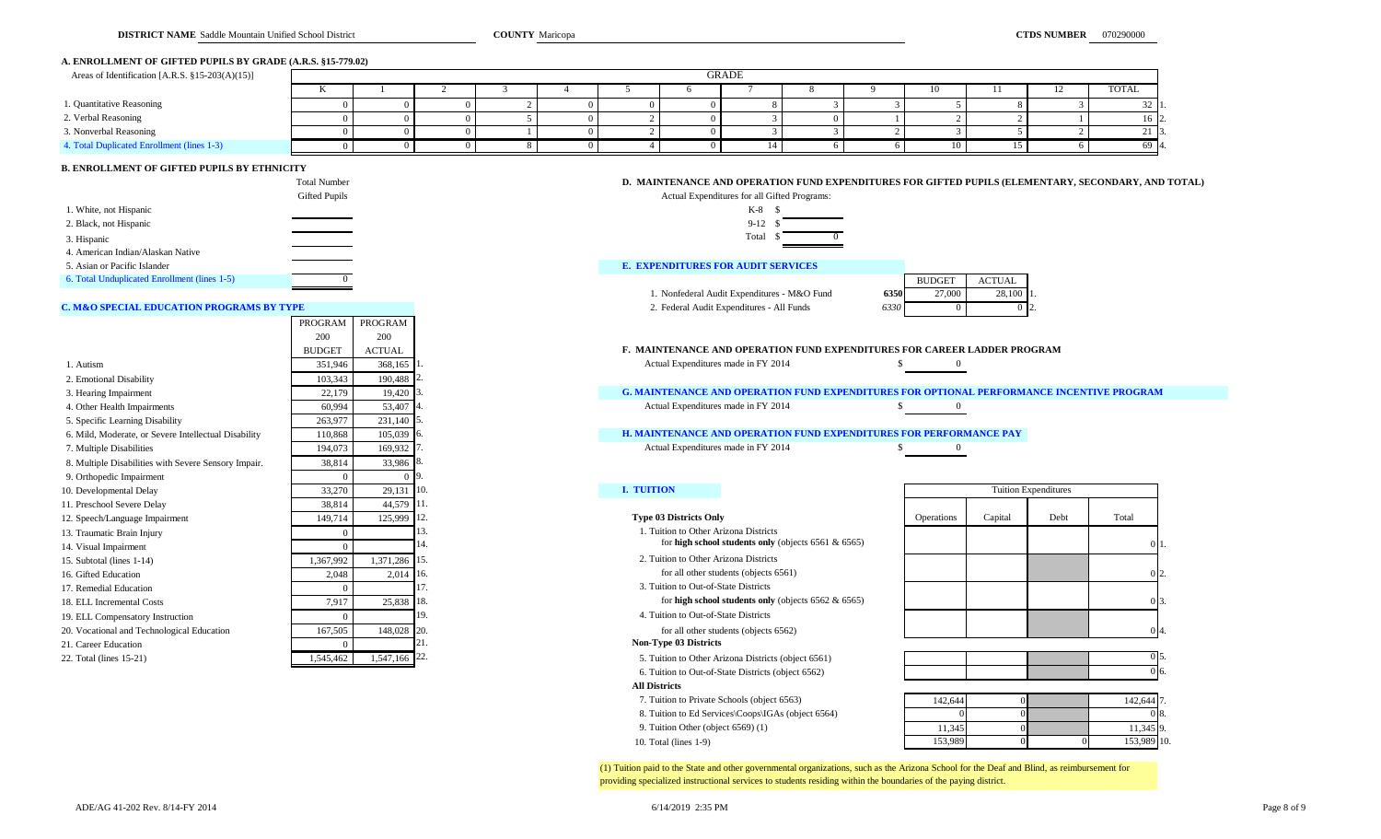#### **A. ENROLLMENT OF GIFTED PUPILS BY GRADE (A.R.S. §15-779.02)**

| Areas of Identification [A.R.S. §15-203(A)(15)] |          | GRADE |  |  |  |  |  |  |  |    |  |                 |
|-------------------------------------------------|----------|-------|--|--|--|--|--|--|--|----|--|-----------------|
|                                                 | $\cdots$ |       |  |  |  |  |  |  |  | 10 |  | TOTAL           |
| 1. Quantitative Reasoning                       |          |       |  |  |  |  |  |  |  |    |  | 32 L            |
| 2. Verbal Reasoning                             |          |       |  |  |  |  |  |  |  |    |  | 16   2.         |
| 3. Nonverbal Reasoning                          |          |       |  |  |  |  |  |  |  |    |  | 21 E            |
| 4. Total Duplicated Enrollment (lines 1-3)      |          |       |  |  |  |  |  |  |  |    |  | 69 <sup>2</sup> |

### **B. ENROLLMENT OF GIFTED PUPILS BY ETHNICITY**

|                                              | <b>Total Number</b>  | D. MAINTENANCE AND OPERATION FUND EXPENDITURES FOR GIFTED PUPILS (EL |               |               |
|----------------------------------------------|----------------------|----------------------------------------------------------------------|---------------|---------------|
|                                              | <b>Gifted Pupils</b> | Actual Expenditures for all Gifted Programs:                         |               |               |
| 1. White, not Hispanic                       |                      | K-8                                                                  |               |               |
| 2. Black, not Hispanic                       |                      | $9-12$                                                               |               |               |
| 3. Hispanic                                  |                      | Total                                                                |               |               |
| 4. American Indian/Alaskan Native            |                      |                                                                      |               |               |
| 5. Asian or Pacific Islander                 |                      | <b>E. EXPENDITURES FOR AUDIT SERVICES</b>                            |               |               |
| 6. Total Unduplicated Enrollment (lines 1-5) |                      |                                                                      | <b>BUDGET</b> | <b>ACTUAL</b> |

PROGRAM PROGRAM

#### **C. M&O SPECIAL EDUCATION PROGRAMS BY TYPE** 2. Federal Audit Expenditures - All Funds

|                                                      | 200           | 200                        |             |                                                                                                  |                   |         |                             |                |
|------------------------------------------------------|---------------|----------------------------|-------------|--------------------------------------------------------------------------------------------------|-------------------|---------|-----------------------------|----------------|
|                                                      | <b>BUDGET</b> | <b>ACTUAL</b>              |             | <b>F. MAINTENANCE AND OPERATION FUND EXPENDITURES FOR CAREER LADDER PROGRAM</b>                  |                   |         |                             |                |
| 1. Autism                                            | 351,946       | $368,165$ <sup>1</sup>     |             | Actual Expenditures made in FY 2014                                                              |                   |         |                             |                |
| 2. Emotional Disability                              | 103,343       | 190,488 2                  |             |                                                                                                  |                   |         |                             |                |
| 3. Hearing Impairment                                | 22,179        | $19,420$ 3                 |             | <b>G. MAINTENANCE AND OPERATION FUND EXPENDITURES FOR OPTIONAL PERFORMANCE INCENTIVE PROGRAM</b> |                   |         |                             |                |
| 4. Other Health Impairments                          | 60.994        | 53,407                     |             | Actual Expenditures made in FY 2014                                                              |                   |         |                             |                |
| 5. Specific Learning Disability                      | 263,977       | 231,140 5.                 |             |                                                                                                  |                   |         |                             |                |
| 6. Mild, Moderate, or Severe Intellectual Disability | 110,868       | 105,039 6.                 |             | <b>H. MAINTENANCE AND OPERATION FUND EXPENDITURES FOR PERFORMANCE PAY</b>                        |                   |         |                             |                |
| 7. Multiple Disabilities                             | 194,073       | 169,932                    |             | Actual Expenditures made in FY 2014                                                              | $\bf{0}$          |         |                             |                |
| 8. Multiple Disabilities with Severe Sensory Impair. | 38,814        | 33,986 8.                  |             |                                                                                                  |                   |         |                             |                |
| 9. Orthopedic Impairment                             |               |                            |             |                                                                                                  |                   |         |                             |                |
| 10. Developmental Delay                              | 33,270        | 29,131                     | <b>110.</b> | <b>I. TUITION</b>                                                                                |                   |         | <b>Tuition Expenditures</b> |                |
| 11. Preschool Severe Delay                           | 38,814        | 44,579 11.                 |             |                                                                                                  |                   |         |                             |                |
| 12. Speech/Language Impairment                       | 149,714       | 125,999                    | $\vert$ 12. | <b>Type 03 Districts Only</b>                                                                    | <b>Operations</b> | Capital | Debt                        | Total          |
| 13. Traumatic Brain Injury                           |               |                            |             | 1. Tuition to Other Arizona Districts                                                            |                   |         |                             |                |
| 14. Visual Impairment                                |               |                            | 14          | for high school students only (objects $6561 & 6565$ )                                           |                   |         |                             |                |
| 15. Subtotal (lines 1-14)                            | 1,367,992     | 1,371,286 15.              |             | 2. Tuition to Other Arizona Districts                                                            |                   |         |                             |                |
| 16. Gifted Education                                 | 2.048         | 2,014                      | - 116.      | for all other students (objects 6561)                                                            |                   |         |                             |                |
| 17. Remedial Education                               |               |                            |             | 3. Tuition to Out-of-State Districts                                                             |                   |         |                             |                |
| 18. ELL Incremental Costs                            | 7,917         | 25,838 18.                 |             | for high school students only (objects $6562 \& 6565$ )                                          |                   |         |                             | 0I3            |
| 19. ELL Compensatory Instruction                     |               |                            | 19.         | 4. Tuition to Out-of-State Districts                                                             |                   |         |                             |                |
| 20. Vocational and Technological Education           | 167,505       | 148,028 20.                |             | for all other students (objects 6562)                                                            |                   |         |                             | 0 <sup>2</sup> |
| 21. Career Education                                 |               |                            |             | Non-Type 03 Districts                                                                            |                   |         |                             |                |
| 22. Total (lines 15-21)                              | 1,545,462     | $1,547,166$ <sup>22.</sup> |             | 5. Tuition to Other Arizona Districts (object 6561)                                              |                   |         |                             | $0\vert 5$     |

#### D. MAINTENANCE AND OPERATION FUND EXPENDITURES FOR GIFTED PUPILS (ELEMENTARY, SECONDARY, AND TOTAL)



#### **E. EXPENDITURES FOR AUDIT SERVICES**

1. Nonfederal Audit Expenditures - M&O Fund

|      | <b>BUDGET</b> | <b>ACTUAL</b> |  |
|------|---------------|---------------|--|
| 6350 | 27,000        | 28,100        |  |
| 6330 | U             |               |  |

|        |                          |         | Tuition Expenditures |                |
|--------|--------------------------|---------|----------------------|----------------|
|        | Operations               | Capital | Debt                 | Total          |
| :6565) |                          |         |                      | $\mathbf 0$    |
|        |                          |         |                      | $\mathbf 0$    |
| :6565) |                          |         |                      | $\mathbf 0$    |
|        |                          |         |                      | $\mathbf 0$    |
|        |                          |         |                      | 0              |
|        |                          |         |                      | $\overline{0}$ |
|        |                          |         |                      |                |
|        | $\overline{\phantom{a}}$ | 'n      |                      | .              |

|                 | 142,644 7. |   | 142,644 |
|-----------------|------------|---|---------|
| 08.             |            |   |         |
|                 | 11,345 9.  |   | 11,345  |
| $\overline{10}$ | 153,989    | υ | 153,989 |

(1) Tuition paid to the State and other governmental organizations, such as the Arizona School for the Deaf and Blind, as reimbursement for providing specialized instructional services to students residing within the boundaries of the paying district.

10. Total (lines  $1-9$ )

 **All Districts**

6. Tuition to Out-of-State Districts (object 6562)

7. Tuition to Private Schools (object 6563) 8. Tuition to Ed Services\Coops\IGAs (object 6564)

9. Tuition Other (object  $6569$ ) (1)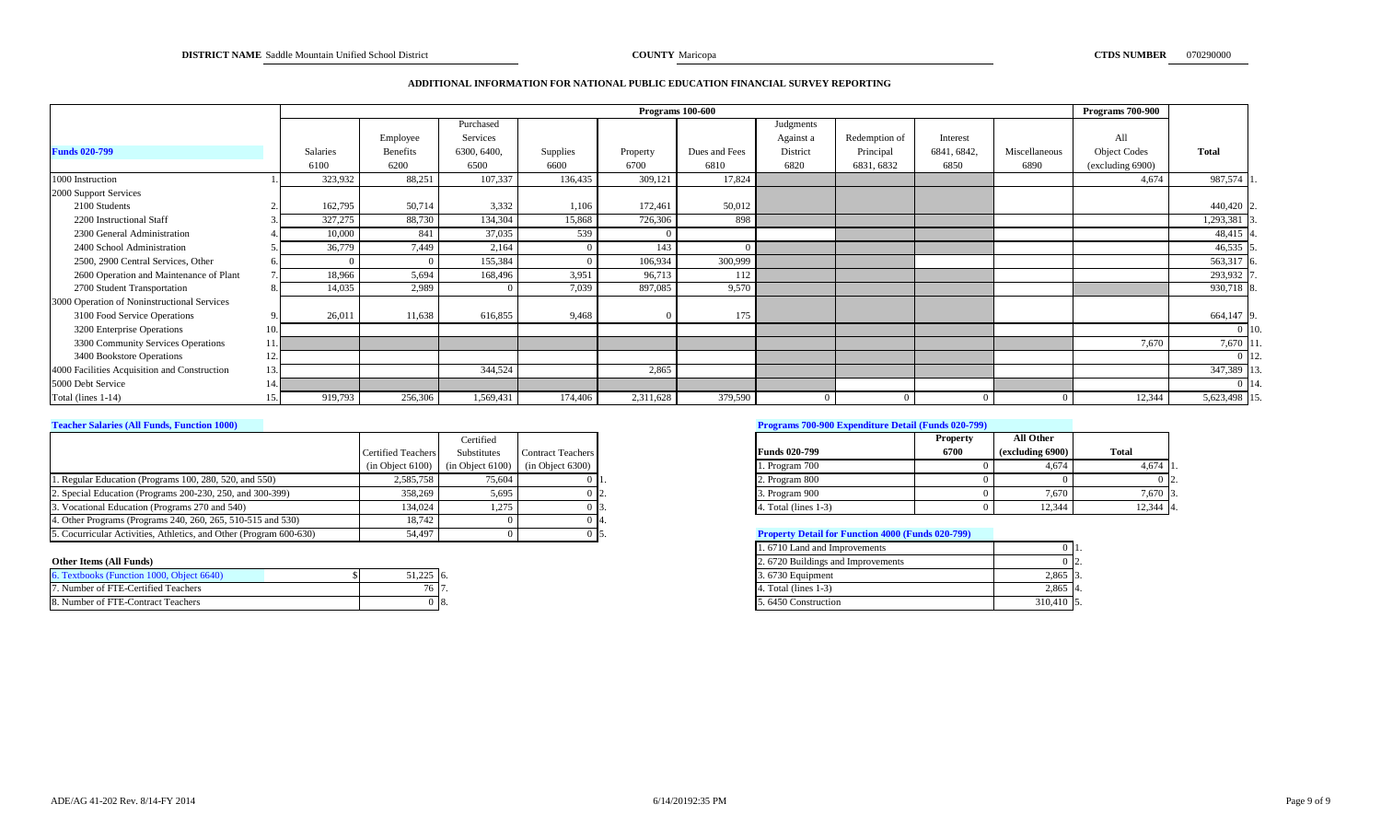#### **ADDITIONAL INFORMATION FOR NATIONAL PUBLIC EDUCATION FINANCIAL SURVEY REPORTING**

|                                              |     |                 |          |             |          |           | Programs 100-600 |           |               |             |               | <b>Programs 700-900</b> |                   |
|----------------------------------------------|-----|-----------------|----------|-------------|----------|-----------|------------------|-----------|---------------|-------------|---------------|-------------------------|-------------------|
|                                              |     |                 |          | Purchased   |          |           |                  | Judgments |               |             |               |                         |                   |
|                                              |     |                 | Employee | Services    |          |           |                  | Against a | Redemption of | Interest    |               | All                     |                   |
| <b>Funds 020-799</b>                         |     | <b>Salaries</b> | Benefits | 6300, 6400. | Supplies | Property  | Dues and Fees    | District  | Principal     | 6841, 6842, | Miscellaneous | <b>Object Codes</b>     | <b>Total</b>      |
|                                              |     | 6100            | 6200     | 6500        | 6600     | 6700      | 6810             | 6820      | 6831, 6832    | 6850        | 6890          | (excluding 6900)        |                   |
| 1000 Instruction                             |     | 323,932         | 88,251   | 107,337     | 136,435  | 309,121   | 17,824           |           |               |             |               | 4,674                   | 987,574 1         |
| 2000 Support Services                        |     |                 |          |             |          |           |                  |           |               |             |               |                         |                   |
| 2100 Students                                |     | 162,795         | 50,714   | 3,332       | 1,106    | 172,461   | 50,012           |           |               |             |               |                         | 440,420 2         |
| 2200 Instructional Staff                     |     | 327,275         | 88,730   | 134,304     | 15,868   | 726,306   | 898              |           |               |             |               |                         | 1,293,381         |
| 2300 General Administration                  |     | 10,000          | 841      | 37,035      | 539      |           |                  |           |               |             |               |                         | 48,415 $\sqrt{ }$ |
| 2400 School Administration                   |     | 36,779          | 7,449    | 2,164       |          | 143       |                  |           |               |             |               |                         | 46,535 \$         |
| 2500, 2900 Central Services, Other           |     |                 |          | 155,384     |          | 106,934   | 300,999          |           |               |             |               |                         | 563,317 6         |
| 2600 Operation and Maintenance of Plant      |     | 18,966          | 5,694    | 168,496     | 3,951    | 96,713    | 112              |           |               |             |               |                         | 293,932           |
| 2700 Student Transportation                  |     | 14,035          | 2,989    |             | 7,039    | 897,085   | 9,570            |           |               |             |               |                         | 930,718 8         |
| 3000 Operation of Noninstructional Services  |     |                 |          |             |          |           |                  |           |               |             |               |                         |                   |
| 3100 Food Service Operations                 |     | 26,011          | 11,638   | 616,855     | 9,468    |           | 175              |           |               |             |               |                         | 664,147 9         |
| 3200 Enterprise Operations                   | 10. |                 |          |             |          |           |                  |           |               |             |               |                         | $0$ 10.           |
| 3300 Community Services Operations           |     |                 |          |             |          |           |                  |           |               |             |               | 7,670                   | 7,670 11          |
| 3400 Bookstore Operations                    |     |                 |          |             |          |           |                  |           |               |             |               |                         | 0 L 12            |
| 4000 Facilities Acquisition and Construction | 13. |                 |          | 344,524     |          | 2,865     |                  |           |               |             |               |                         | 347,389 1         |
| 5000 Debt Service                            |     |                 |          |             |          |           |                  |           |               |             |               |                         | $0 \; 14$ .       |
| Total (lines 1-14)                           |     | 919,793         | 256,306  | 1,569,431   | 174,406  | 2,311,628 | 379,590          |           |               |             |               | 12,344                  | 5,623,498 15.     |

|                                                                    |                           | Certified                                                |                          |                                                          | <b>Property</b> | <b>All Other</b> |              |
|--------------------------------------------------------------------|---------------------------|----------------------------------------------------------|--------------------------|----------------------------------------------------------|-----------------|------------------|--------------|
|                                                                    | <b>Certified Teachers</b> | Substitutes                                              | <b>Contract Teachers</b> | <b>Funds 020-799</b>                                     | 6700            | (excluding 6900) | <b>Total</b> |
|                                                                    |                           | $(in Object 6100)$ $(in Object 6100)$ $(in Object 6300)$ |                          | 1. Program 700                                           |                 | 4.674            | 4.674 1      |
| 1. Regular Education (Programs 100, 280, 520, and 550)             | 2,585,758                 | 75.604                                                   |                          | 2. Program 800                                           |                 |                  | $0\,$   2.   |
| 2. Special Education (Programs 200-230, 250, and 300-399)          | 358,269                   | 5.695                                                    |                          | 3. Program 900                                           |                 | 7.670            | 7,670 3      |
| 3. Vocational Education (Programs 270 and 540)                     | 134,024                   | 1.275                                                    |                          | 4. Total (lines 1-3)                                     |                 | 12,344           | $12.344$ 4.  |
| 4. Other Programs (Programs 240, 260, 265, 510-515 and 530)        | 18,742                    |                                                          |                          |                                                          |                 |                  |              |
| 5. Cocurricular Activities, Athletics, and Other (Program 600-630) | 54,497                    |                                                          |                          | <b>Property Detail for Function 4000 (Funds 020-799)</b> |                 |                  |              |

| 5. Textbooks (Function 1000, Object 6640) | 51. 225. .<br>$J1, 22J$ 10. | 3. 6730 Equipment      | 2,865     |
|-------------------------------------------|-----------------------------|------------------------|-----------|
| 7. Number of FTE-Certified Teachers       | 1011.                       | . Total (lines $1-3$ ) | 2.86      |
| 8. Number of FTE-Contract Teachers        |                             | 5.6450 Construction    | 310,410 5 |

## **Teacher Salaries (All Funds, Function 1000) Programs 700-900 Expenditure Detail (Funds 020-799)**

|                         | <b>Property</b> | All Other        |                           |
|-------------------------|-----------------|------------------|---------------------------|
| <b>Funds 020-799</b>    | 6700            | (excluding 6900) | Total                     |
| 1. Program 700          |                 | 4.674            | 4.674                     |
| 2. Program 800          |                 |                  | 12.                       |
| 3. Program 900          |                 | 7.670            | 7.670<br>$\overline{3}$ . |
| 4. Total (lines $1-3$ ) |                 | 12,344           | 12.344<br>14.             |

#### **Froperty Detail for Function 4000 (Funds 020-799)**

|                                           |           |     |  | 1.6710 Land and Improvements      | -0-11.     |
|-------------------------------------------|-----------|-----|--|-----------------------------------|------------|
| Other Items (All Funds)                   |           |     |  | 2.6720 Buildings and Improvements | -0-12.     |
| 6. Textbooks (Function 1000, Object 6640) | 51.225 6. |     |  | 3.6730 Equipment                  | 2.865 3    |
| 7. Number of FTE-Certified Teachers       |           |     |  | 4. Total (lines $1-3$ )           | 2,865 4.   |
| 8. Number of FTE-Contract Teachers        |           | 18. |  | 5.6450 Construction               | 310,410 5. |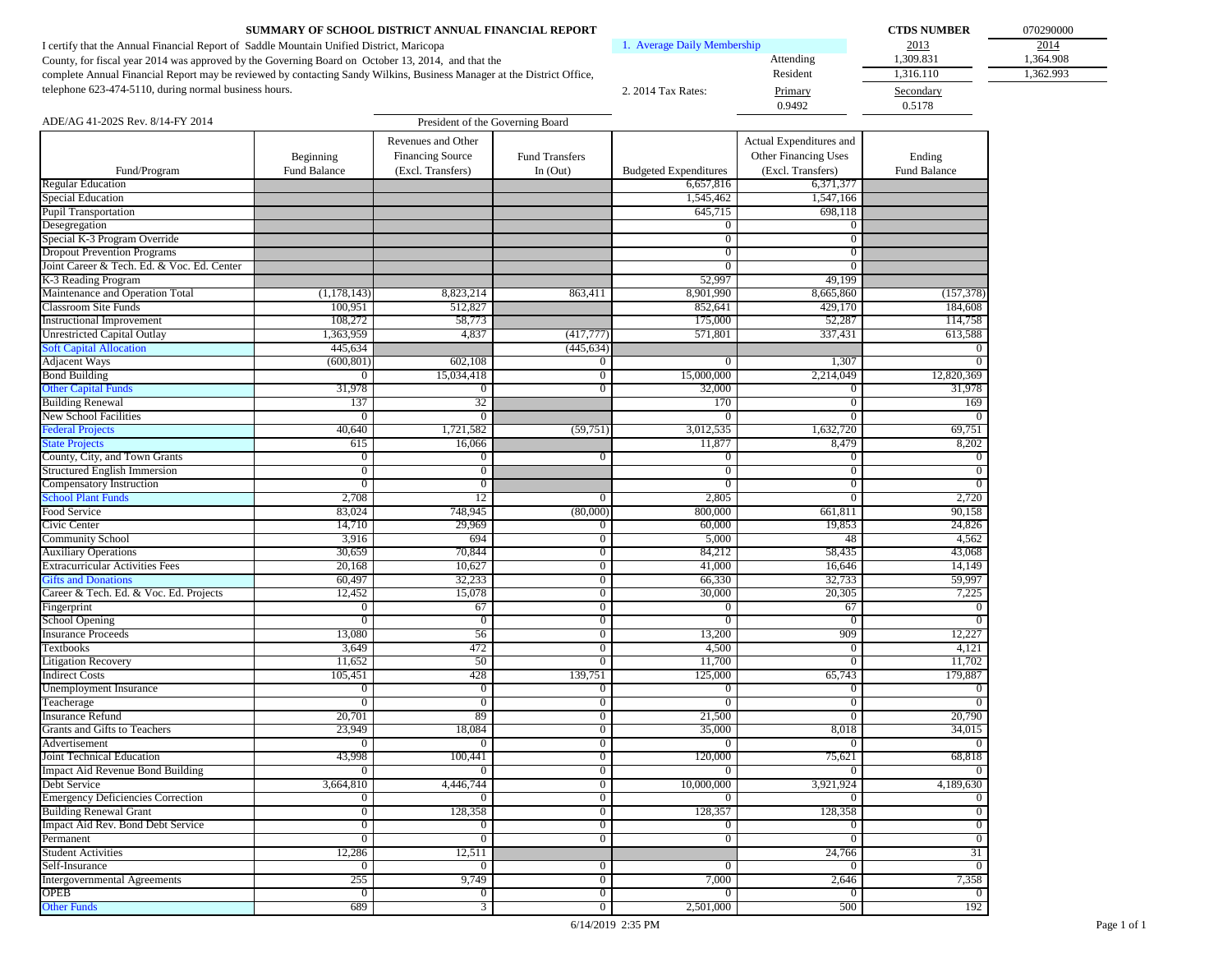| SUMMARY OF SCHOOL DISTRICT ANNUAL FINANCIAL REPORT                                                                     |                             |           | <b>CTDS NUMBER</b> | 07029000  |
|------------------------------------------------------------------------------------------------------------------------|-----------------------------|-----------|--------------------|-----------|
| I certify that the Annual Financial Report of Saddle Mountain Unified District, Maricopa                               | 1. Average Daily Membership |           | 2013               | 2014      |
| County, for fiscal year 2014 was approved by the Governing Board on October 13, 2014, and that the                     |                             | Attending | 1.309.831          | 1.364.908 |
| complete Annual Financial Report may be reviewed by contacting Sandy Wilkins, Business Manager at the District Office, |                             | Resident  | 316.110            | 1.362.993 |
| telephone 623-474-5110, during normal business hours.                                                                  | 2. 2014 Tax Rates:          | Primary   | Secondary          |           |
|                                                                                                                        |                             | 0.9492    | 0.5178             |           |

| 070290000 |
|-----------|
| 2014      |
| 1,364.908 |
| 1,362.993 |
|           |
|           |

| ADE/AG 41-202S Rev. 8/14-FY 2014           | President of the Governing Board |                         |                                |                              |                         |                |  |
|--------------------------------------------|----------------------------------|-------------------------|--------------------------------|------------------------------|-------------------------|----------------|--|
|                                            |                                  | Revenues and Other      |                                |                              | Actual Expenditures and |                |  |
|                                            | Beginning                        | <b>Financing Source</b> | <b>Fund Transfers</b>          |                              | Other Financing Uses    | Ending         |  |
| Fund/Program                               | Fund Balance                     | (Excl. Transfers)       | In $(Out)$                     | <b>Budgeted Expenditures</b> | (Excl. Transfers)       | Fund Balance   |  |
| <b>Regular Education</b>                   |                                  |                         |                                | 6,657,816                    | 6,371,377               |                |  |
| Special Education                          |                                  |                         |                                | 1,545,462                    | 1,547,166               |                |  |
| <b>Pupil Transportation</b>                |                                  |                         |                                | 645,715                      | 698,118                 |                |  |
| Desegregation                              |                                  |                         |                                | $\bf{0}$                     | $\mathbf{0}$            |                |  |
| Special K-3 Program Override               |                                  |                         |                                | $\overline{0}$               | $\overline{0}$          |                |  |
| <b>Dropout Prevention Programs</b>         |                                  |                         |                                | $\overline{0}$               | $\overline{0}$          |                |  |
| Joint Career & Tech. Ed. & Voc. Ed. Center |                                  |                         |                                | $\overline{0}$               | $\overline{0}$          |                |  |
| K-3 Reading Program                        |                                  |                         |                                | 52,997                       | 49,199                  |                |  |
| Maintenance and Operation Total            | (1,178,143)                      | 8,823,214               | 863,411                        | 8,901,990                    | 8,665,860               | (157, 378)     |  |
| <b>Classroom Site Funds</b>                | 100,951                          | 512,827                 |                                | 852,641                      | 429,170                 | 184,608        |  |
| <b>Instructional Improvement</b>           | 108,272                          | 58,773                  |                                | 175,000                      | 52,287                  | 114,758        |  |
| <b>Unrestricted Capital Outlay</b>         | 1,363,959                        | 4,837                   | (417,777)                      | 571,801                      | 337,431                 | 613,588        |  |
| <b>Soft Capital Allocation</b>             | 445,634                          |                         | (445, 634)                     |                              |                         |                |  |
| <b>Adjacent Ways</b>                       | (600, 801)                       | 602,108                 | $\mathbf{0}$                   | $\bf{0}$                     | 1,307                   |                |  |
| <b>Bond Building</b>                       | 0                                | 15,034,418              | $\overline{0}$                 | 15,000,000                   | 2,214,049               | 12,820,369     |  |
| <b>Other Capital Funds</b>                 | 31,978                           | $\mathbf{0}$            | $\overline{0}$                 | 32,000                       | $\mathbf{0}$            | 31,978         |  |
| <b>Building Renewal</b>                    | 137                              | 32                      |                                | 170                          | $\overline{0}$          | 169            |  |
| <b>New School Facilities</b>               | $\overline{0}$                   | $\overline{0}$          |                                | $\overline{0}$               | $\overline{0}$          | $\Omega$       |  |
| <b>Federal Projects</b>                    | 40,640                           | 1,721,582               | (59,751)                       | 3,012,535                    | 1,632,720               | 69,751         |  |
| <b>State Projects</b>                      | 615                              | 16,066                  |                                | 11,877                       | 8,479                   | 8,202          |  |
| County, City, and Town Grants              | $\mathbf{0}$                     | $\mathbf{0}$            | $\mathbf{0}$                   | $\bf{0}$                     | $\mathbf{0}$            | $\Omega$       |  |
| <b>Structured English Immersion</b>        | $\overline{0}$                   | $\overline{0}$          |                                | $\overline{0}$               | $\mathbf{0}$            | $\Omega$       |  |
| Compensatory Instruction                   | $\overline{0}$                   | $\overline{0}$          |                                | $\overline{0}$               | $\overline{0}$          | $\Omega$       |  |
| <b>School Plant Funds</b>                  | 2,708                            | 12                      | $\mathbf{0}$                   | 2,805                        | $\mathbf{0}$            | 2,720          |  |
| Food Service                               | 83,024                           | 748,945                 | (80,000)                       | 800,000                      | 661,811                 | 90,158         |  |
| Civic Center                               | 14,710                           | 29,969                  | $\mathbf{0}$                   | 60,000                       | 19,853                  | 24,826         |  |
| <b>Community School</b>                    | 3,916                            | 694                     | $\overline{0}$                 | 5,000                        | 48                      | 4,562          |  |
| <b>Auxiliary Operations</b>                | 30,659                           | 70,844                  | $\overline{0}$                 | 84,212                       | 58,435                  | 43,068         |  |
| <b>Extracurricular Activities Fees</b>     | 20,168                           | 10,627                  | $\overline{0}$                 | 41,000                       | 16,646                  | 14,149         |  |
| <b>Gifts and Donations</b>                 | 60,497                           | 32,233                  | $\overline{0}$                 | 66,330                       | 32,733                  | 59,997         |  |
| Career & Tech. Ed. & Voc. Ed. Projects     | 12,452                           | 15,078                  | $\overline{0}$                 | 30,000                       | 20,305                  | 7,225          |  |
| Fingerprint                                | 0                                | 67                      | $\overline{0}$                 | $\bf{0}$                     | 67                      | $\Omega$       |  |
| <b>School Opening</b>                      | $\overline{0}$                   | $\mathbf{0}$            | $\overline{0}$                 | $\overline{0}$               | $\bf{0}$                | $\Omega$       |  |
| <b>Insurance Proceeds</b>                  | 13,080                           | 56                      | $\overline{0}$                 | 13,200                       | 909                     | 12,227         |  |
| <b>Textbooks</b>                           | 3,649                            | 472                     | $\overline{0}$                 | 4,500                        | $\mathbf{0}$            | 4,121          |  |
| <b>Litigation Recovery</b>                 | 11,652                           | 50                      | $\overline{0}$                 | 11,700                       | $\overline{0}$          | 11,702         |  |
| <b>Indirect Costs</b>                      | 105,451                          | 428                     | 139,751                        | 125,000                      | 65,743                  | 179,887        |  |
| <b>Unemployment Insurance</b>              | $\mathbf{0}$                     | $\overline{0}$          | $\mathbf{0}$                   | $\bf{0}$                     | $\mathbf{0}$            | $\Omega$       |  |
| Teacherage                                 | $\bf{0}$                         | $\boldsymbol{0}$        | $\mathbf{0}$                   | $\mathbf{0}$                 | $\mathbf{0}$            |                |  |
| <b>Insurance Refund</b>                    | 20,701                           | 89                      | $\overline{0}$                 | 21,500                       | $\overline{0}$          | 20,790         |  |
| Grants and Gifts to Teachers               | 23,949                           | 18,084                  | $\overline{0}$                 | 35,000                       | 8,018                   | 34,015         |  |
| Advertisement                              | $\Omega$                         | $\overline{0}$          | $\overline{0}$                 | $\Omega$                     | $\Omega$                |                |  |
| Joint Technical Education                  | 43,998                           | 100,441                 | $\overline{0}$                 | 120,000                      | 75,621                  | 68,818         |  |
| <b>Impact Aid Revenue Bond Building</b>    | $\Omega$                         | $\overline{0}$          | $\overline{0}$                 | $\bf{0}$                     | 0                       |                |  |
| Debt Service                               | 3,664,810                        | 4,446,744               | $\overline{0}$                 | 10,000,000                   | 3,921,924               | 4,189,630      |  |
| <b>Emergency Deficiencies Correction</b>   | $\overline{0}$                   | $\mathbf{0}$            | $\overline{0}$                 | $\bf{0}$                     | $\mathbf{0}$            | $\overline{0}$ |  |
| <b>Building Renewal Grant</b>              | $\overline{0}$                   | 128,358                 | $\overline{0}$                 | 128,357                      | 128,358                 |                |  |
| Impact Aid Rev. Bond Debt Service          | $\overline{0}$                   | $\overline{0}$          | $\overline{0}$                 | $\overline{0}$               | $\overline{0}$          | $\overline{0}$ |  |
| Permanent                                  | $\overline{0}$                   | $\overline{0}$          | $\overline{0}$                 | $\overline{0}$               | $\overline{0}$          | $\overline{0}$ |  |
| <b>Student Activities</b>                  | 12,286                           | 12,511                  |                                |                              | 24,766                  | 31             |  |
| Self-Insurance                             | $\mathbf{0}$                     | $\overline{0}$          | $\mathbf{0}$                   | $\bf{0}$                     | $\mathbf{0}$            | $\overline{0}$ |  |
| <b>Intergovernmental Agreements</b>        | 255                              | 9,749                   |                                | 7,000                        | 2,646                   | 7,358          |  |
| OPEB                                       | $\overline{0}$                   | $\overline{0}$          | $\mathbf{0}$<br>$\overline{0}$ | $\overline{0}$               | $\overline{0}$          | $\overline{0}$ |  |
|                                            |                                  |                         |                                | 2,501,000                    | 500                     | 192            |  |
| <b>Other Funds</b>                         | 689                              | $\overline{3}$          | $\overline{0}$                 |                              |                         |                |  |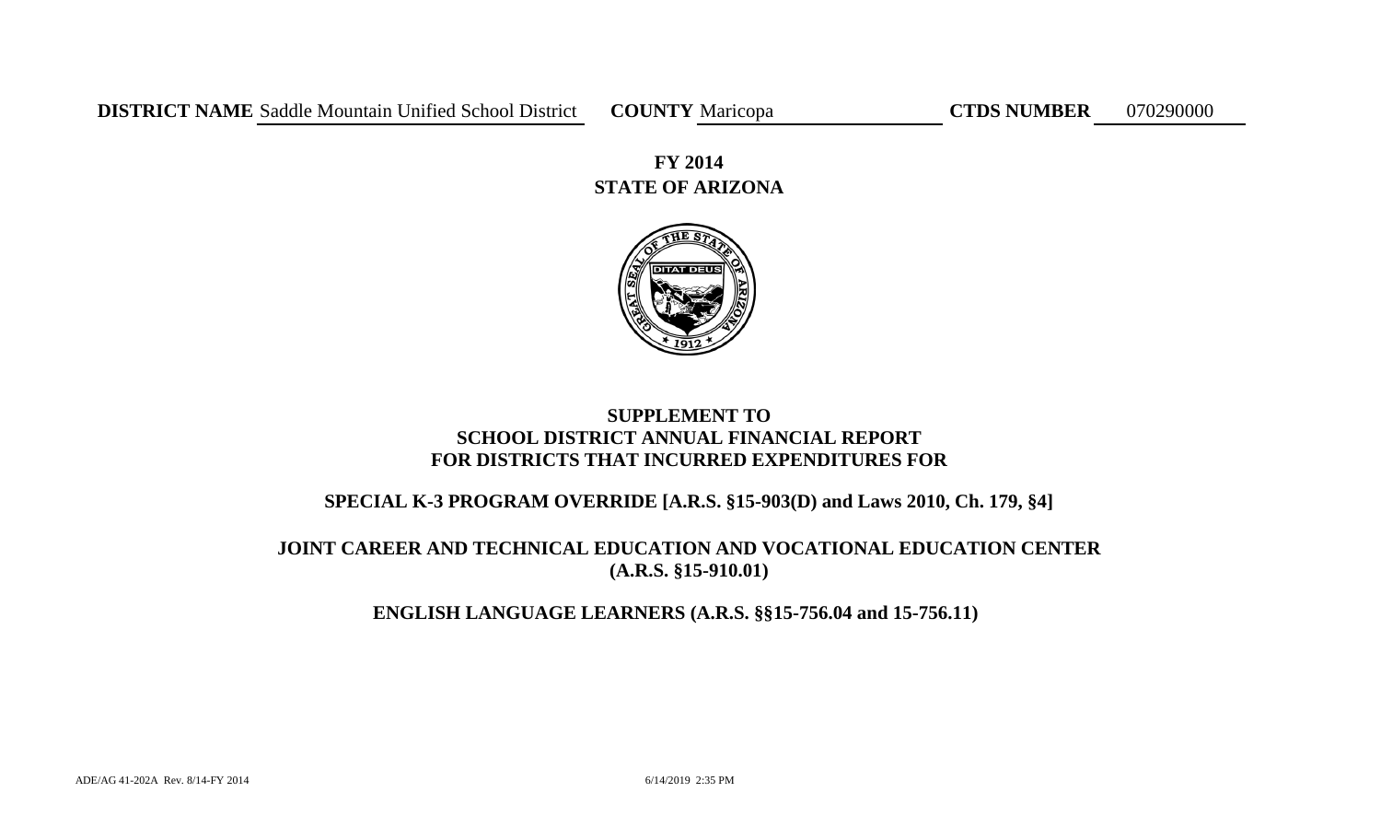# **STATE OF ARIZONA FY 2014**



# **SUPPLEMENT TO SCHOOL DISTRICT ANNUAL FINANCIAL REPORT FOR DISTRICTS THAT INCURRED EXPENDITURES FOR**

# **SPECIAL K-3 PROGRAM OVERRIDE [A.R.S. §15-903(D) and Laws 2010, Ch. 179, §4]**

# **JOINT CAREER AND TECHNICAL EDUCATION AND VOCATIONAL EDUCATION CENTER (A.R.S. §15-910.01)**

# **ENGLISH LANGUAGE LEARNERS (A.R.S. §§15-756.04 and 15-756.11)**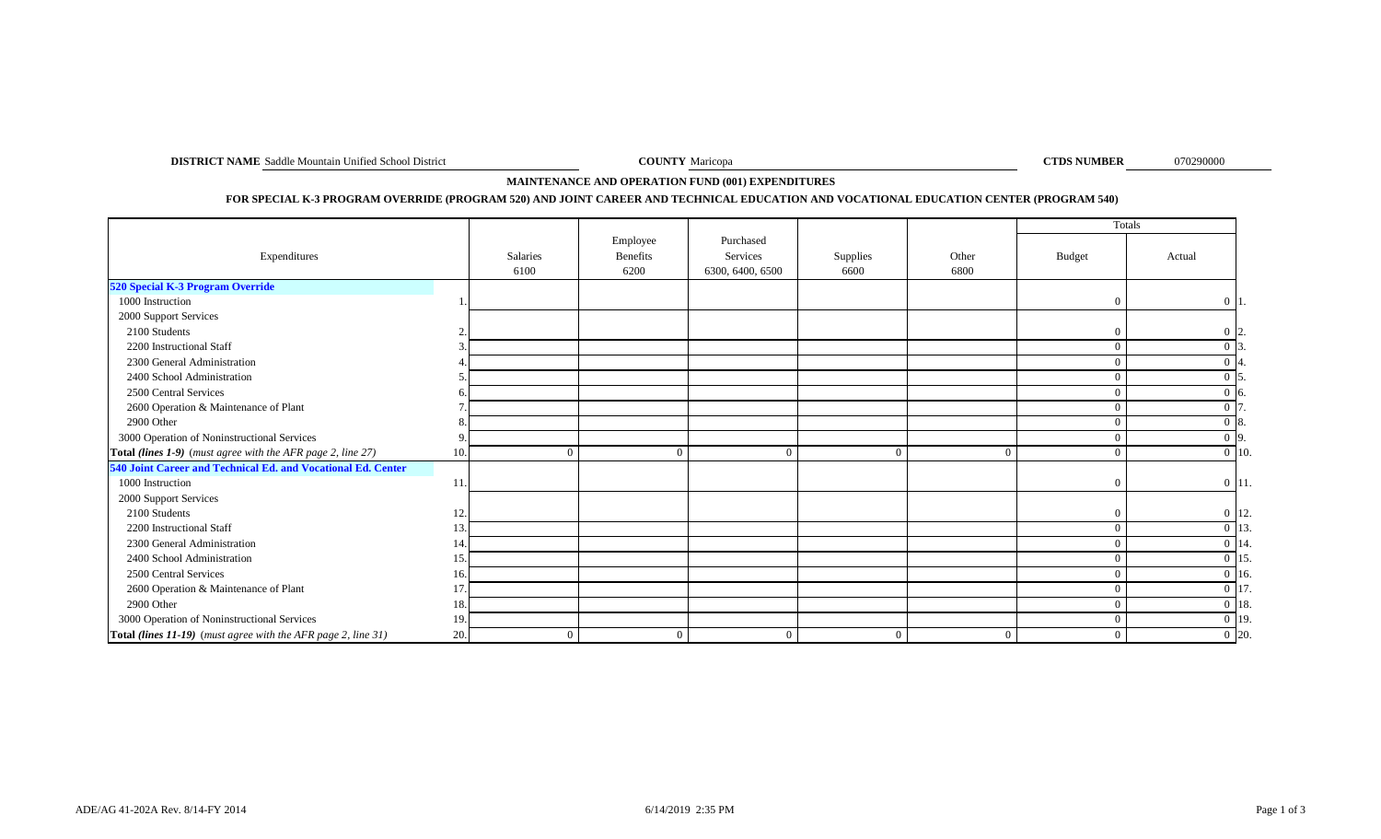**DISTRICT NAME** Saddle Mountain Unified School District **COUNTY** Maricopa **COUNTY** Maricopa **COUNTY** Maricopa **COUNTY** Maricopa **COUNTY** Maricopa **COUNTY** Maricopa **COUNTY** Maricopa **COUNTY** Maricopa **COUNTY** Maricopa **COU** 

**COUNTY** Maricopa

070290000

# **MAINTENANCE AND OPERATION FUND (001) EXPENDITURES**

## **FOR SPECIAL K-3 PROGRAM OVERRIDE (PROGRAM 520) AND JOINT CAREER AND TECHNICAL EDUCATION AND VOCATIONAL EDUCATION CENTER (PROGRAM 540)**

|                                                               |     |                  |                              |                                           |                  |               | Totals         |                     |
|---------------------------------------------------------------|-----|------------------|------------------------------|-------------------------------------------|------------------|---------------|----------------|---------------------|
| Expenditures                                                  |     | Salaries<br>6100 | Employee<br>Benefits<br>6200 | Purchased<br>Services<br>6300, 6400, 6500 | Supplies<br>6600 | Other<br>6800 | Budget         | Actual              |
| 520 Special K-3 Program Override                              |     |                  |                              |                                           |                  |               |                |                     |
| 1000 Instruction                                              |     |                  |                              |                                           |                  |               | $\Omega$       | $\vert 0 \vert 1$ . |
| 2000 Support Services                                         |     |                  |                              |                                           |                  |               |                |                     |
| 2100 Students                                                 |     |                  |                              |                                           |                  |               | $\Omega$       | $0\vert 2$          |
| 2200 Instructional Staff                                      |     |                  |                              |                                           |                  |               | $\overline{0}$ |                     |
| 2300 General Administration                                   |     |                  |                              |                                           |                  |               | $\Omega$       | 14.                 |
| 2400 School Administration                                    |     |                  |                              |                                           |                  |               | $\Omega$       |                     |
| 2500 Central Services                                         |     |                  |                              |                                           |                  |               | $\Omega$       | $0\,$ 6.            |
| 2600 Operation & Maintenance of Plant                         |     |                  |                              |                                           |                  |               | $\theta$       | $0\vert 7$          |
| 2900 Other                                                    |     |                  |                              |                                           |                  |               | $\Omega$       | 0 8.                |
| 3000 Operation of Noninstructional Services                   |     |                  |                              |                                           |                  |               | $\Omega$       | $0\vert 9.$         |
| Total (lines 1-9) (must agree with the AFR page 2, line 27)   | 10  |                  |                              | $\Omega$                                  | $\Omega$         |               | $\theta$       | $\overline{0}$ 10.  |
| 540 Joint Career and Technical Ed. and Vocational Ed. Center  |     |                  |                              |                                           |                  |               |                |                     |
| 1000 Instruction                                              | 11  |                  |                              |                                           |                  |               | $\overline{0}$ | $0 \vert 11.$       |
| 2000 Support Services                                         |     |                  |                              |                                           |                  |               |                |                     |
| 2100 Students                                                 | 12  |                  |                              |                                           |                  |               | $\Omega$       | $0 \vert 12.$       |
| 2200 Instructional Staff                                      | 13  |                  |                              |                                           |                  |               | $\Omega$       | 0 13                |
| 2300 General Administration                                   | 14  |                  |                              |                                           |                  |               | $\Omega$       | $0 \vert 14$ .      |
| 2400 School Administration                                    | 15  |                  |                              |                                           |                  |               | $\Omega$       | 0 15                |
| 2500 Central Services                                         | 16. |                  |                              |                                           |                  |               | $\overline{0}$ | $0 \vert 16.$       |
| 2600 Operation & Maintenance of Plant                         | 17  |                  |                              |                                           |                  |               | $\theta$       | $0 \mid 17$ .       |
| 2900 Other                                                    | 18  |                  |                              |                                           |                  |               | $\Omega$       | $0\vert 18$ .       |
| 3000 Operation of Noninstructional Services                   | 19  |                  |                              |                                           |                  |               | $\overline{0}$ | $0 \vert 19.$       |
| Total (lines 11-19) (must agree with the AFR page 2, line 31) | 20. |                  | 0                            | $\Omega$                                  | $\Omega$         |               | $\overline{0}$ | $0\vert 20.$        |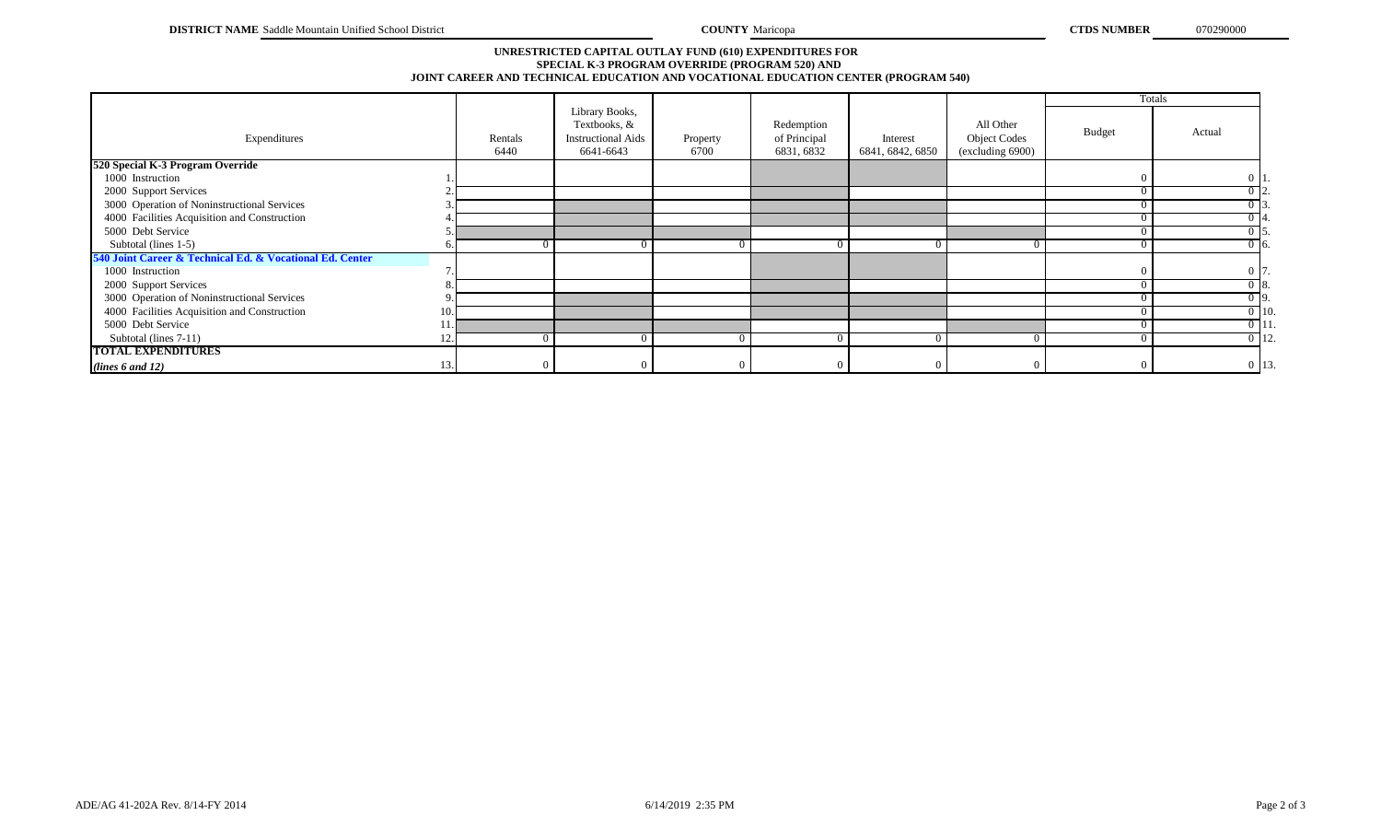## **SPECIAL K-3 PROGRAM OVERRIDE (PROGRAM 520) AND JOINT CAREER AND TECHNICAL EDUCATION AND VOCATIONAL EDUCATION CENTER (PROGRAM 540) UNRESTRICTED CAPITAL OUTLAY FUND (610) EXPENDITURES FOR**

|                                                          |     |                 |                                                                          |                  |                                          |                              |                                                      | Totals        |                    |  |
|----------------------------------------------------------|-----|-----------------|--------------------------------------------------------------------------|------------------|------------------------------------------|------------------------------|------------------------------------------------------|---------------|--------------------|--|
| Expenditures                                             |     | Rentals<br>6440 | Library Books,<br>Textbooks, &<br><b>Instructional Aids</b><br>6641-6643 | Property<br>6700 | Redemption<br>of Principal<br>6831, 6832 | Interest<br>6841, 6842, 6850 | All Other<br><b>Object Codes</b><br>(excluding 6900) | <b>Budget</b> | Actual             |  |
| 520 Special K-3 Program Override                         |     |                 |                                                                          |                  |                                          |                              |                                                      |               |                    |  |
| 1000 Instruction                                         |     |                 |                                                                          |                  |                                          |                              |                                                      |               | 0 <sup>1</sup>     |  |
| 2000 Support Services                                    |     |                 |                                                                          |                  |                                          |                              |                                                      | $\Omega$      | 012.               |  |
| 3000 Operation of Noninstructional Services              |     |                 |                                                                          |                  |                                          |                              |                                                      |               | ) 13               |  |
| 4000 Facilities Acquisition and Construction             |     |                 |                                                                          |                  |                                          |                              |                                                      | $\Omega$      | $0\,14.$           |  |
| 5000 Debt Service                                        |     |                 |                                                                          |                  |                                          |                              |                                                      | $^{\circ}$    | ) 15.              |  |
| Subtotal (lines 1-5)                                     |     |                 |                                                                          |                  |                                          |                              |                                                      |               | $0\,16.$           |  |
| 540 Joint Career & Technical Ed. & Vocational Ed. Center |     |                 |                                                                          |                  |                                          |                              |                                                      |               |                    |  |
| 1000 Instruction                                         |     |                 |                                                                          |                  |                                          |                              |                                                      |               | $0\vert 7$         |  |
| 2000 Support Services                                    |     |                 |                                                                          |                  |                                          |                              |                                                      |               | 018.               |  |
| 3000 Operation of Noninstructional Services              |     |                 |                                                                          |                  |                                          |                              |                                                      | $\Omega$      | $0\overline{9}$ .  |  |
| 4000 Facilities Acquisition and Construction             | 10. |                 |                                                                          |                  |                                          |                              |                                                      | 0             | $0 \vert 10.$      |  |
| 5000 Debt Service                                        |     |                 |                                                                          |                  |                                          |                              |                                                      |               | $\overline{0}$ 11. |  |
| Subtotal (lines 7-11)                                    |     |                 |                                                                          |                  |                                          |                              |                                                      | $\Omega$      | $0$ 12.            |  |
| <b>TOTAL EXPENDITURES</b>                                |     |                 |                                                                          |                  |                                          |                              |                                                      |               |                    |  |
| (lines 6 and 12)                                         | 13. |                 |                                                                          |                  |                                          |                              |                                                      | $\Omega$      | 0 13.              |  |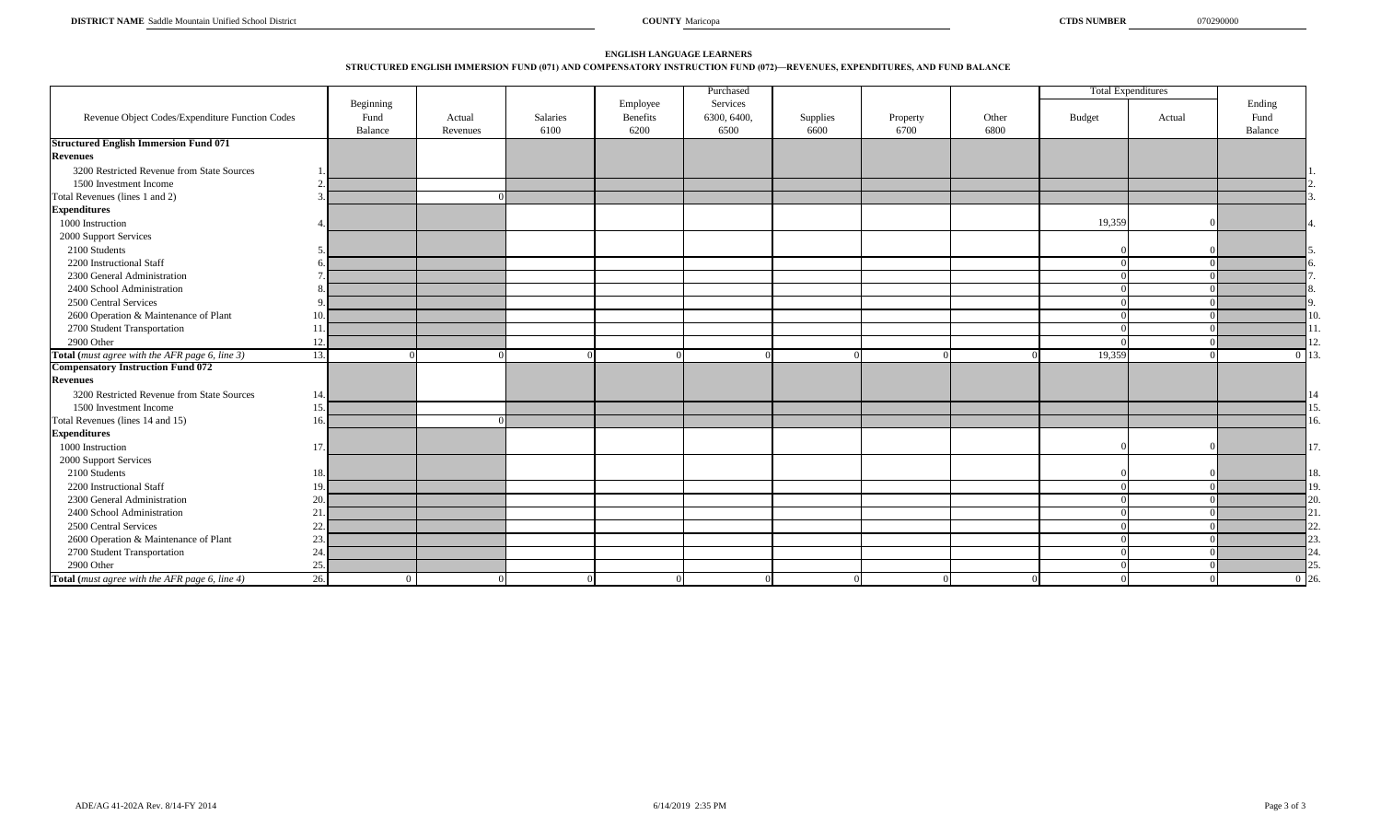## **STRUCTURED ENGLISH IMMERSION FUND (071) AND COMPENSATORY INSTRUCTION FUND (072)—REVENUES, EXPENDITURES, AND FUND BALANCE ENGLISH LANGUAGE LEARNERS**

|                                                 |                               |          |          |                      | Purchased               |          |          |       |        | <b>Total Expenditures</b> |                |
|-------------------------------------------------|-------------------------------|----------|----------|----------------------|-------------------------|----------|----------|-------|--------|---------------------------|----------------|
| Revenue Object Codes/Expenditure Function Codes | Beginning<br>Fund             | Actual   | Salaries | Employee<br>Benefits | Services<br>6300, 6400, | Supplies | Property | Other | Budget | Actual                    | Ending<br>Fund |
|                                                 | Balance                       | Revenues | 6100     | 6200                 | 6500                    | 6600     | 6700     | 6800  |        |                           | Balance        |
| <b>Structured English Immersion Fund 071</b>    |                               |          |          |                      |                         |          |          |       |        |                           |                |
| <b>Revenues</b>                                 |                               |          |          |                      |                         |          |          |       |        |                           |                |
| 3200 Restricted Revenue from State Sources      |                               |          |          |                      |                         |          |          |       |        |                           |                |
| 1500 Investment Income                          |                               |          |          |                      |                         |          |          |       |        |                           |                |
| Total Revenues (lines 1 and 2)                  |                               |          |          |                      |                         |          |          |       |        |                           |                |
| <b>Expenditures</b>                             |                               |          |          |                      |                         |          |          |       |        |                           |                |
| 1000 Instruction                                |                               |          |          |                      |                         |          |          |       | 19,359 |                           |                |
| 2000 Support Services                           |                               |          |          |                      |                         |          |          |       |        |                           |                |
| 2100 Students                                   | $\sim$                        |          |          |                      |                         |          |          |       |        |                           |                |
| 2200 Instructional Staff                        | -6                            |          |          |                      |                         |          |          |       |        |                           |                |
| 2300 General Administration                     |                               |          |          |                      |                         |          |          |       |        |                           |                |
| 2400 School Administration                      |                               |          |          |                      |                         |          |          |       |        |                           |                |
| 2500 Central Services                           | $\mathbf Q$                   |          |          |                      |                         |          |          |       |        |                           |                |
| 2600 Operation & Maintenance of Plant           | 10.                           |          |          |                      |                         |          |          |       |        |                           |                |
| 2700 Student Transportation                     | 11.                           |          |          |                      |                         |          |          |       |        |                           |                |
| 2900 Other                                      | 12.                           |          |          |                      |                         |          |          |       |        |                           |                |
| Total (must agree with the AFR page 6, line 3)  | 13.                           |          |          |                      |                         |          |          |       | 19,359 |                           | $\Omega$       |
| <b>Compensatory Instruction Fund 072</b>        |                               |          |          |                      |                         |          |          |       |        |                           |                |
| <b>Revenues</b>                                 |                               |          |          |                      |                         |          |          |       |        |                           |                |
| 3200 Restricted Revenue from State Sources      | 14.                           |          |          |                      |                         |          |          |       |        |                           |                |
| 1500 Investment Income                          | 15.                           |          |          |                      |                         |          |          |       |        |                           |                |
| Total Revenues (lines 14 and 15)                | 16.                           |          |          |                      |                         |          |          |       |        |                           |                |
| <b>Expenditures</b>                             |                               |          |          |                      |                         |          |          |       |        |                           |                |
| 1000 Instruction                                | 17.                           |          |          |                      |                         |          |          |       |        |                           |                |
| 2000 Support Services                           |                               |          |          |                      |                         |          |          |       |        |                           |                |
| 2100 Students                                   | 18.                           |          |          |                      |                         |          |          |       |        |                           |                |
| 2200 Instructional Staff                        | 19.                           |          |          |                      |                         |          |          |       |        |                           | 19             |
| 2300 General Administration                     | 20.                           |          |          |                      |                         |          |          |       |        |                           | 20             |
| 2400 School Administration                      | 21.                           |          |          |                      |                         |          |          |       |        |                           |                |
| 2500 Central Services                           | 22.                           |          |          |                      |                         |          |          |       |        |                           |                |
| 2600 Operation & Maintenance of Plant           | 23.                           |          |          |                      |                         |          |          |       |        |                           |                |
| 2700 Student Transportation                     | 24.                           |          |          |                      |                         |          |          |       |        |                           |                |
| 2900 Other                                      | 25.                           |          |          |                      |                         |          |          |       |        |                           |                |
| Total (must agree with the AFR page 6, line 4)  | $\overline{26}$ .<br>$\Omega$ |          |          | $\Omega$             |                         |          |          |       |        |                           | 0.126          |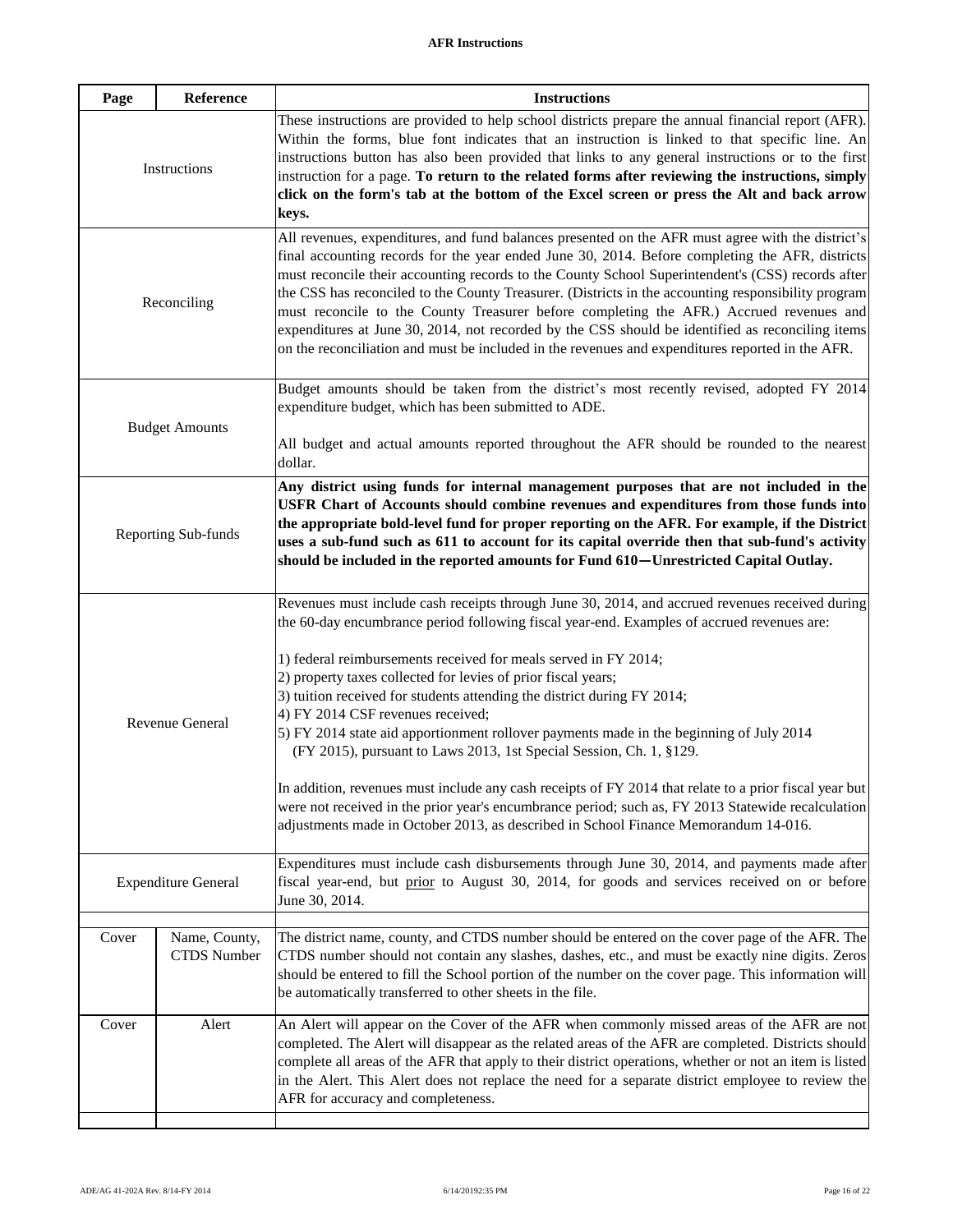| These instructions are provided to help school districts prepare the annual financial report (AFR).<br>Within the forms, blue font indicates that an instruction is linked to that specific line. An<br>instructions button has also been provided that links to any general instructions or to the first<br>instruction for a page. To return to the related forms after reviewing the instructions, simply<br>click on the form's tab at the bottom of the Excel screen or press the Alt and back arrow                                                                                                                                                                                                           |
|---------------------------------------------------------------------------------------------------------------------------------------------------------------------------------------------------------------------------------------------------------------------------------------------------------------------------------------------------------------------------------------------------------------------------------------------------------------------------------------------------------------------------------------------------------------------------------------------------------------------------------------------------------------------------------------------------------------------|
|                                                                                                                                                                                                                                                                                                                                                                                                                                                                                                                                                                                                                                                                                                                     |
| All revenues, expenditures, and fund balances presented on the AFR must agree with the district's<br>final accounting records for the year ended June 30, 2014. Before completing the AFR, districts<br>must reconcile their accounting records to the County School Superintendent's (CSS) records after<br>the CSS has reconciled to the County Treasurer. (Districts in the accounting responsibility program<br>must reconcile to the County Treasurer before completing the AFR.) Accrued revenues and<br>expenditures at June 30, 2014, not recorded by the CSS should be identified as reconciling items<br>on the reconciliation and must be included in the revenues and expenditures reported in the AFR. |
| Budget amounts should be taken from the district's most recently revised, adopted FY 2014<br>expenditure budget, which has been submitted to ADE.<br>All budget and actual amounts reported throughout the AFR should be rounded to the nearest                                                                                                                                                                                                                                                                                                                                                                                                                                                                     |
|                                                                                                                                                                                                                                                                                                                                                                                                                                                                                                                                                                                                                                                                                                                     |
| Any district using funds for internal management purposes that are not included in the<br>USFR Chart of Accounts should combine revenues and expenditures from those funds into<br>the appropriate bold-level fund for proper reporting on the AFR. For example, if the District<br>uses a sub-fund such as 611 to account for its capital override then that sub-fund's activity<br>should be included in the reported amounts for Fund 610—Unrestricted Capital Outlay.                                                                                                                                                                                                                                           |
| Revenues must include cash receipts through June 30, 2014, and accrued revenues received during<br>the 60-day encumbrance period following fiscal year-end. Examples of accrued revenues are:                                                                                                                                                                                                                                                                                                                                                                                                                                                                                                                       |
| 1) federal reimbursements received for meals served in FY 2014;<br>2) property taxes collected for levies of prior fiscal years;<br>3) tuition received for students attending the district during FY 2014;<br>5) FY 2014 state aid apportionment rollover payments made in the beginning of July 2014<br>(FY 2015), pursuant to Laws 2013, 1st Special Session, Ch. 1, §129.                                                                                                                                                                                                                                                                                                                                       |
| In addition, revenues must include any cash receipts of FY 2014 that relate to a prior fiscal year but<br>were not received in the prior year's encumbrance period; such as, FY 2013 Statewide recalculation<br>adjustments made in October 2013, as described in School Finance Memorandum 14-016.                                                                                                                                                                                                                                                                                                                                                                                                                 |
| Expenditures must include cash disbursements through June 30, 2014, and payments made after<br>fiscal year-end, but prior to August 30, 2014, for goods and services received on or before                                                                                                                                                                                                                                                                                                                                                                                                                                                                                                                          |
| The district name, county, and CTDS number should be entered on the cover page of the AFR. The<br>CTDS number should not contain any slashes, dashes, etc., and must be exactly nine digits. Zeros<br>should be entered to fill the School portion of the number on the cover page. This information will<br>be automatically transferred to other sheets in the file.                                                                                                                                                                                                                                                                                                                                              |
| An Alert will appear on the Cover of the AFR when commonly missed areas of the AFR are not<br>completed. The Alert will disappear as the related areas of the AFR are completed. Districts should<br>complete all areas of the AFR that apply to their district operations, whether or not an item is listed<br>in the Alert. This Alert does not replace the need for a separate district employee to review the                                                                                                                                                                                                                                                                                                   |
|                                                                                                                                                                                                                                                                                                                                                                                                                                                                                                                                                                                                                                                                                                                     |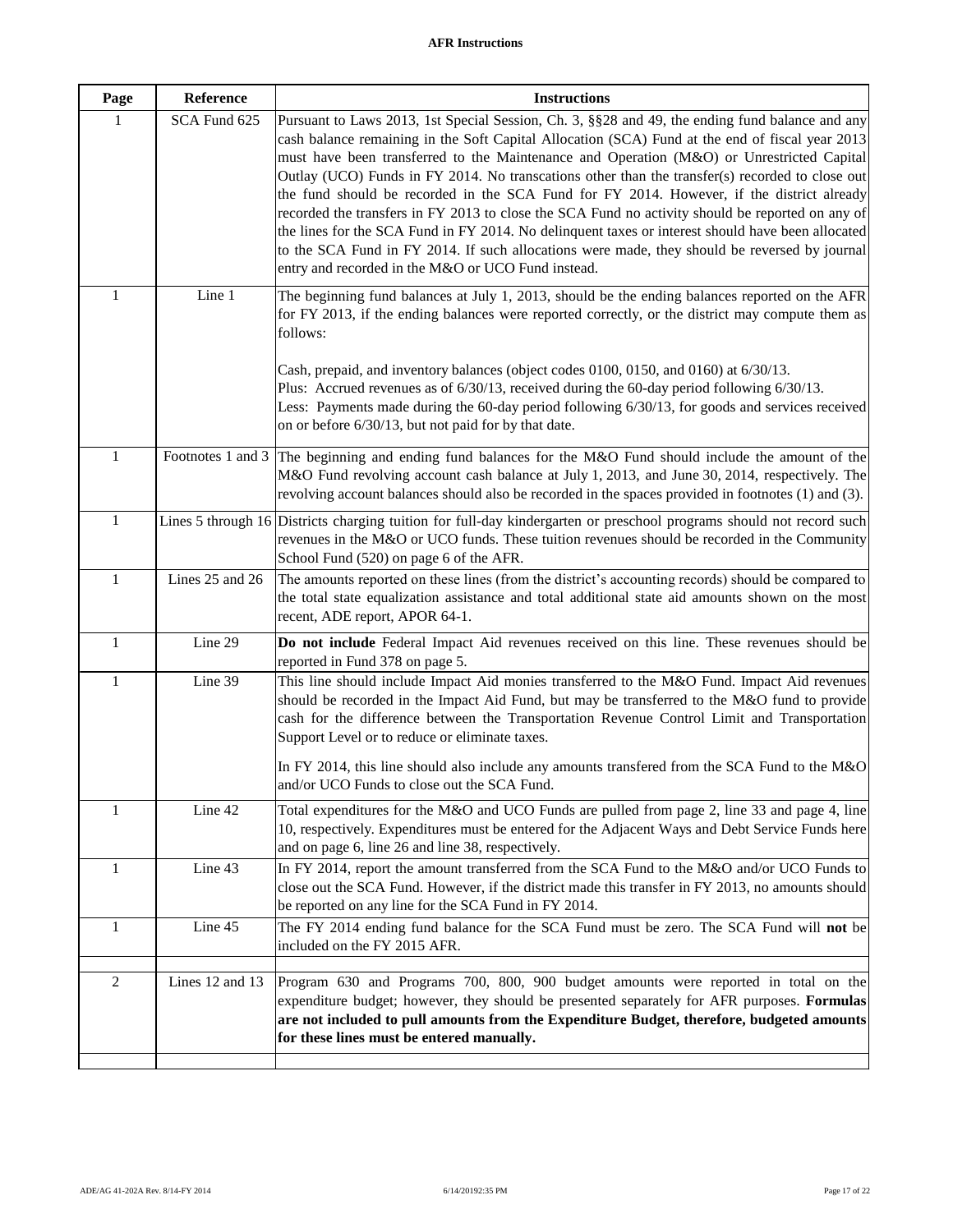| Page           | Reference       | <b>Instructions</b>                                                                                                                                                                                                                                                                                                                                                                                                                                                                                                                                                                                                                                                                                                                                                                                                                                             |
|----------------|-----------------|-----------------------------------------------------------------------------------------------------------------------------------------------------------------------------------------------------------------------------------------------------------------------------------------------------------------------------------------------------------------------------------------------------------------------------------------------------------------------------------------------------------------------------------------------------------------------------------------------------------------------------------------------------------------------------------------------------------------------------------------------------------------------------------------------------------------------------------------------------------------|
| 1              | SCA Fund 625    | Pursuant to Laws 2013, 1st Special Session, Ch. 3, §§28 and 49, the ending fund balance and any<br>cash balance remaining in the Soft Capital Allocation (SCA) Fund at the end of fiscal year 2013<br>must have been transferred to the Maintenance and Operation (M&O) or Unrestricted Capital<br>Outlay (UCO) Funds in FY 2014. No transcations other than the transfer(s) recorded to close out<br>the fund should be recorded in the SCA Fund for FY 2014. However, if the district already<br>recorded the transfers in FY 2013 to close the SCA Fund no activity should be reported on any of<br>the lines for the SCA Fund in FY 2014. No delinquent taxes or interest should have been allocated<br>to the SCA Fund in FY 2014. If such allocations were made, they should be reversed by journal<br>entry and recorded in the M&O or UCO Fund instead. |
| 1              | Line 1          | The beginning fund balances at July 1, 2013, should be the ending balances reported on the AFR<br>for FY 2013, if the ending balances were reported correctly, or the district may compute them as<br>follows:<br>Cash, prepaid, and inventory balances (object codes 0100, 0150, and 0160) at 6/30/13.<br>Plus: Accrued revenues as of $6/30/13$ , received during the 60-day period following $6/30/13$ .<br>Less: Payments made during the 60-day period following $6/30/13$ , for goods and services received<br>on or before 6/30/13, but not paid for by that date.                                                                                                                                                                                                                                                                                       |
| $\mathbf{1}$   |                 | Footnotes 1 and 3 The beginning and ending fund balances for the M&O Fund should include the amount of the<br>M&O Fund revolving account cash balance at July 1, 2013, and June 30, 2014, respectively. The<br>revolving account balances should also be recorded in the spaces provided in footnotes (1) and (3).                                                                                                                                                                                                                                                                                                                                                                                                                                                                                                                                              |
| $\mathbf{1}$   |                 | Lines 5 through 16 Districts charging tuition for full-day kindergarten or preschool programs should not record such<br>revenues in the M&O or UCO funds. These tuition revenues should be recorded in the Community<br>School Fund (520) on page 6 of the AFR.                                                                                                                                                                                                                                                                                                                                                                                                                                                                                                                                                                                                 |
| 1              | Lines 25 and 26 | The amounts reported on these lines (from the district's accounting records) should be compared to<br>the total state equalization assistance and total additional state aid amounts shown on the most<br>recent, ADE report, APOR 64-1.                                                                                                                                                                                                                                                                                                                                                                                                                                                                                                                                                                                                                        |
| $\mathbf{1}$   | Line 29         | Do not include Federal Impact Aid revenues received on this line. These revenues should be<br>reported in Fund 378 on page 5.                                                                                                                                                                                                                                                                                                                                                                                                                                                                                                                                                                                                                                                                                                                                   |
| 1              | Line 39         | This line should include Impact Aid monies transferred to the M&O Fund. Impact Aid revenues<br>should be recorded in the Impact Aid Fund, but may be transferred to the M&O fund to provide<br>cash for the difference between the Transportation Revenue Control Limit and Transportation<br>Support Level or to reduce or eliminate taxes.<br>In FY 2014, this line should also include any amounts transfered from the SCA Fund to the $M&O$<br>and/or UCO Funds to close out the SCA Fund.                                                                                                                                                                                                                                                                                                                                                                  |
| 1              | Line 42         | Total expenditures for the M&O and UCO Funds are pulled from page 2, line 33 and page 4, line<br>10, respectively. Expenditures must be entered for the Adjacent Ways and Debt Service Funds here<br>and on page 6, line 26 and line 38, respectively.                                                                                                                                                                                                                                                                                                                                                                                                                                                                                                                                                                                                          |
| $\mathbf{1}$   | Line 43         | In FY 2014, report the amount transferred from the SCA Fund to the M&O and/or UCO Funds to<br>close out the SCA Fund. However, if the district made this transfer in FY 2013, no amounts should<br>be reported on any line for the SCA Fund in FY 2014.                                                                                                                                                                                                                                                                                                                                                                                                                                                                                                                                                                                                         |
| 1              | Line 45         | The FY 2014 ending fund balance for the SCA Fund must be zero. The SCA Fund will not be<br>included on the FY 2015 AFR.                                                                                                                                                                                                                                                                                                                                                                                                                                                                                                                                                                                                                                                                                                                                         |
| $\overline{2}$ | Lines 12 and 13 | Program 630 and Programs 700, 800, 900 budget amounts were reported in total on the<br>expenditure budget; however, they should be presented separately for AFR purposes. Formulas<br>are not included to pull amounts from the Expenditure Budget, therefore, budgeted amounts<br>for these lines must be entered manually.                                                                                                                                                                                                                                                                                                                                                                                                                                                                                                                                    |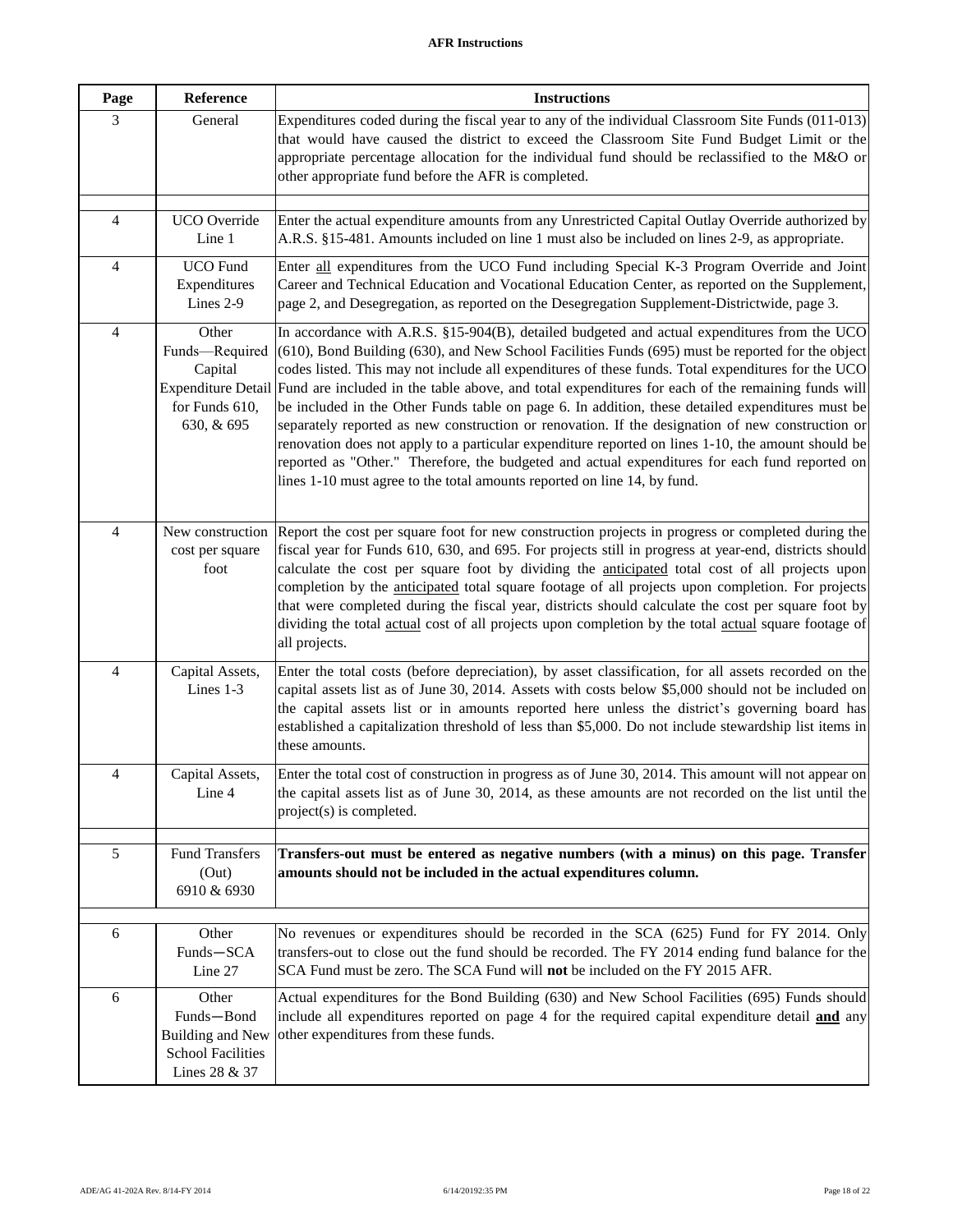| Page                     | Reference                                                                                       | <b>Instructions</b>                                                                                                                                                                                                                                                                                                                                                                                                                                                                                                                                                                                                                                                                                                                                                                                                                                                                                              |
|--------------------------|-------------------------------------------------------------------------------------------------|------------------------------------------------------------------------------------------------------------------------------------------------------------------------------------------------------------------------------------------------------------------------------------------------------------------------------------------------------------------------------------------------------------------------------------------------------------------------------------------------------------------------------------------------------------------------------------------------------------------------------------------------------------------------------------------------------------------------------------------------------------------------------------------------------------------------------------------------------------------------------------------------------------------|
| 3                        | General                                                                                         | Expenditures coded during the fiscal year to any of the individual Classroom Site Funds (011-013)<br>that would have caused the district to exceed the Classroom Site Fund Budget Limit or the<br>appropriate percentage allocation for the individual fund should be reclassified to the M&O or<br>other appropriate fund before the AFR is completed.                                                                                                                                                                                                                                                                                                                                                                                                                                                                                                                                                          |
| $\overline{4}$           | UCO Override<br>Line 1                                                                          | Enter the actual expenditure amounts from any Unrestricted Capital Outlay Override authorized by<br>A.R.S. §15-481. Amounts included on line 1 must also be included on lines 2-9, as appropriate.                                                                                                                                                                                                                                                                                                                                                                                                                                                                                                                                                                                                                                                                                                               |
| $\overline{4}$           | <b>UCO</b> Fund<br>Expenditures<br>Lines 2-9                                                    | Enter all expenditures from the UCO Fund including Special K-3 Program Override and Joint<br>Career and Technical Education and Vocational Education Center, as reported on the Supplement,<br>page 2, and Desegregation, as reported on the Desegregation Supplement-Districtwide, page 3.                                                                                                                                                                                                                                                                                                                                                                                                                                                                                                                                                                                                                      |
| $\overline{4}$           | Other<br>Funds-Required<br>Capital<br><b>Expenditure Detail</b><br>for Funds 610,<br>630, & 695 | In accordance with A.R.S. §15-904(B), detailed budgeted and actual expenditures from the UCO<br>$(610)$ , Bond Building $(630)$ , and New School Facilities Funds $(695)$ must be reported for the object<br>codes listed. This may not include all expenditures of these funds. Total expenditures for the UCO<br>Fund are included in the table above, and total expenditures for each of the remaining funds will<br>be included in the Other Funds table on page 6. In addition, these detailed expenditures must be<br>separately reported as new construction or renovation. If the designation of new construction or<br>renovation does not apply to a particular expenditure reported on lines 1-10, the amount should be<br>reported as "Other." Therefore, the budgeted and actual expenditures for each fund reported on<br>lines 1-10 must agree to the total amounts reported on line 14, by fund. |
| $\overline{\mathcal{L}}$ | New construction<br>cost per square<br>foot                                                     | Report the cost per square foot for new construction projects in progress or completed during the<br>fiscal year for Funds 610, 630, and 695. For projects still in progress at year-end, districts should<br>calculate the cost per square foot by dividing the anticipated total cost of all projects upon<br>completion by the anticipated total square footage of all projects upon completion. For projects<br>that were completed during the fiscal year, districts should calculate the cost per square foot by<br>dividing the total actual cost of all projects upon completion by the total actual square footage of<br>all projects.                                                                                                                                                                                                                                                                  |
| 4                        | Capital Assets,<br>Lines 1-3                                                                    | Enter the total costs (before depreciation), by asset classification, for all assets recorded on the<br>capital assets list as of June 30, 2014. Assets with costs below \$5,000 should not be included on<br>the capital assets list or in amounts reported here unless the district's governing board has<br>established a capitalization threshold of less than \$5,000. Do not include stewardship list items in<br>these amounts.                                                                                                                                                                                                                                                                                                                                                                                                                                                                           |
| 4                        | Capital Assets,<br>Line 4                                                                       | Enter the total cost of construction in progress as of June 30, 2014. This amount will not appear on<br>the capital assets list as of June 30, 2014, as these amounts are not recorded on the list until the<br>project(s) is completed.                                                                                                                                                                                                                                                                                                                                                                                                                                                                                                                                                                                                                                                                         |
| 5                        | Fund Transfers<br>(Out)<br>6910 & 6930                                                          | Transfers-out must be entered as negative numbers (with a minus) on this page. Transfer<br>amounts should not be included in the actual expenditures column.                                                                                                                                                                                                                                                                                                                                                                                                                                                                                                                                                                                                                                                                                                                                                     |
| 6                        | Other<br>Funds-SCA<br>Line 27                                                                   | No revenues or expenditures should be recorded in the SCA (625) Fund for FY 2014. Only<br>transfers-out to close out the fund should be recorded. The FY 2014 ending fund balance for the<br>SCA Fund must be zero. The SCA Fund will not be included on the FY 2015 AFR.                                                                                                                                                                                                                                                                                                                                                                                                                                                                                                                                                                                                                                        |
| 6                        | Other<br>Funds-Bond<br>Building and New<br><b>School Facilities</b><br>Lines 28 & 37            | Actual expenditures for the Bond Building (630) and New School Facilities (695) Funds should<br>include all expenditures reported on page 4 for the required capital expenditure detail <b>and</b> any<br>other expenditures from these funds.                                                                                                                                                                                                                                                                                                                                                                                                                                                                                                                                                                                                                                                                   |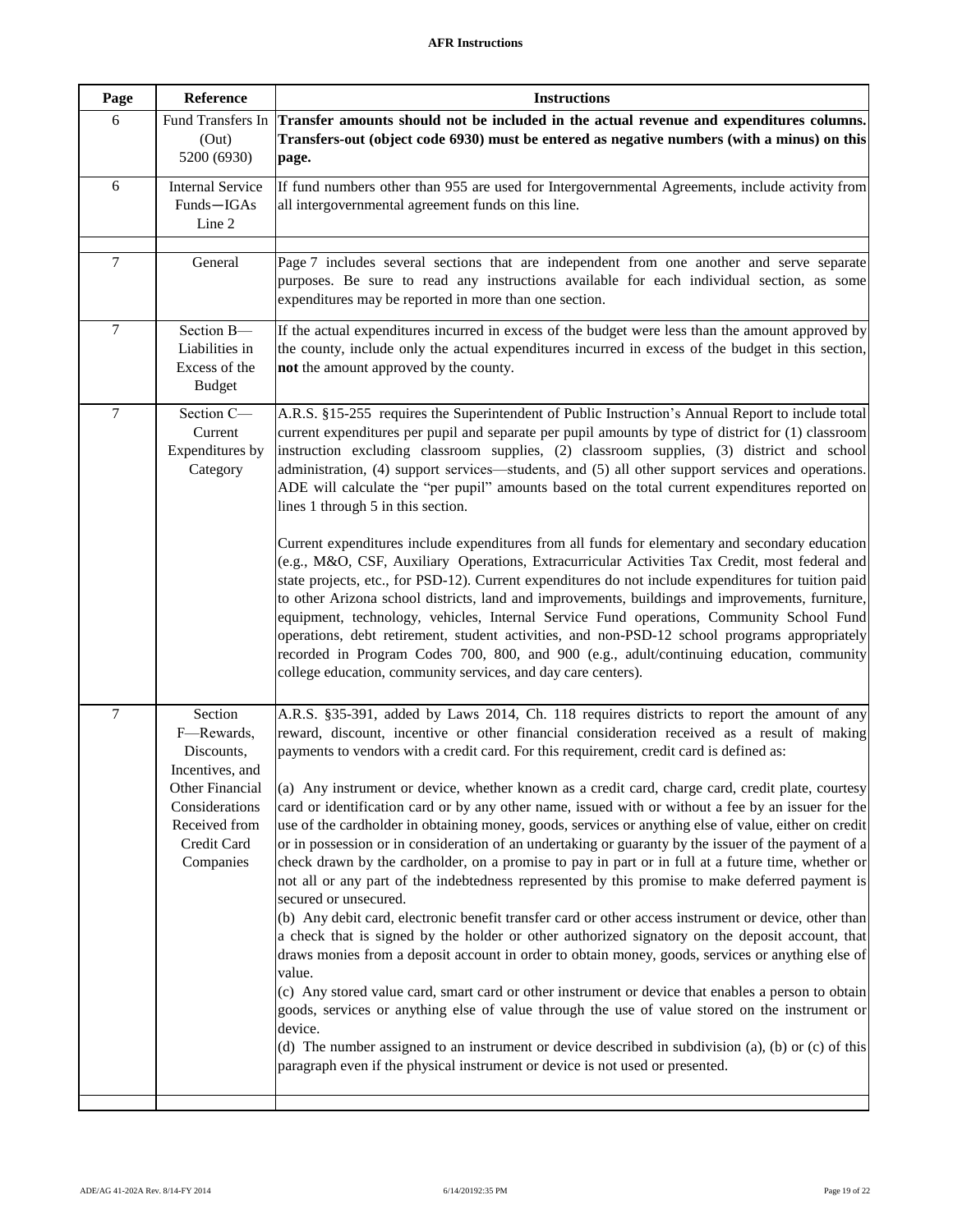| Page   | Reference                                                                                                                                | <b>Instructions</b>                                                                                                                                                                                                                                                                                                                                                                                                                                                                                                                                                                                                                                                                                                                                                                                                                                                                                                                                                                                                                                                                                                                                                                                                                                                                                                                                                                                                                                                                                                                                                                                                                                                                         |
|--------|------------------------------------------------------------------------------------------------------------------------------------------|---------------------------------------------------------------------------------------------------------------------------------------------------------------------------------------------------------------------------------------------------------------------------------------------------------------------------------------------------------------------------------------------------------------------------------------------------------------------------------------------------------------------------------------------------------------------------------------------------------------------------------------------------------------------------------------------------------------------------------------------------------------------------------------------------------------------------------------------------------------------------------------------------------------------------------------------------------------------------------------------------------------------------------------------------------------------------------------------------------------------------------------------------------------------------------------------------------------------------------------------------------------------------------------------------------------------------------------------------------------------------------------------------------------------------------------------------------------------------------------------------------------------------------------------------------------------------------------------------------------------------------------------------------------------------------------------|
| 6      | Fund Transfers In<br>(Out)<br>5200 (6930)                                                                                                | Transfer amounts should not be included in the actual revenue and expenditures columns.<br>Transfers-out (object code 6930) must be entered as negative numbers (with a minus) on this<br>page.                                                                                                                                                                                                                                                                                                                                                                                                                                                                                                                                                                                                                                                                                                                                                                                                                                                                                                                                                                                                                                                                                                                                                                                                                                                                                                                                                                                                                                                                                             |
| 6      | <b>Internal Service</b><br>Funds-IGAs<br>Line 2                                                                                          | If fund numbers other than 955 are used for Intergovernmental Agreements, include activity from<br>all intergovernmental agreement funds on this line.                                                                                                                                                                                                                                                                                                                                                                                                                                                                                                                                                                                                                                                                                                                                                                                                                                                                                                                                                                                                                                                                                                                                                                                                                                                                                                                                                                                                                                                                                                                                      |
| 7      | General                                                                                                                                  | Page 7 includes several sections that are independent from one another and serve separate<br>purposes. Be sure to read any instructions available for each individual section, as some<br>expenditures may be reported in more than one section.                                                                                                                                                                                                                                                                                                                                                                                                                                                                                                                                                                                                                                                                                                                                                                                                                                                                                                                                                                                                                                                                                                                                                                                                                                                                                                                                                                                                                                            |
| $\tau$ | Section B-<br>Liabilities in<br>Excess of the<br><b>Budget</b>                                                                           | If the actual expenditures incurred in excess of the budget were less than the amount approved by<br>the county, include only the actual expenditures incurred in excess of the budget in this section,<br>not the amount approved by the county.                                                                                                                                                                                                                                                                                                                                                                                                                                                                                                                                                                                                                                                                                                                                                                                                                                                                                                                                                                                                                                                                                                                                                                                                                                                                                                                                                                                                                                           |
| $\tau$ | Section C-<br>Current<br>Expenditures by<br>Category                                                                                     | A.R.S. §15-255 requires the Superintendent of Public Instruction's Annual Report to include total<br>current expenditures per pupil and separate per pupil amounts by type of district for (1) classroom<br>instruction excluding classroom supplies, (2) classroom supplies, (3) district and school<br>administration, (4) support services—students, and (5) all other support services and operations.<br>ADE will calculate the "per pupil" amounts based on the total current expenditures reported on<br>lines 1 through 5 in this section.<br>Current expenditures include expenditures from all funds for elementary and secondary education<br>(e.g., M&O, CSF, Auxiliary Operations, Extracurricular Activities Tax Credit, most federal and<br>state projects, etc., for PSD-12). Current expenditures do not include expenditures for tuition paid<br>to other Arizona school districts, land and improvements, buildings and improvements, furniture,<br>equipment, technology, vehicles, Internal Service Fund operations, Community School Fund<br>operations, debt retirement, student activities, and non-PSD-12 school programs appropriately<br>recorded in Program Codes 700, 800, and 900 (e.g., adult/continuing education, community<br>college education, community services, and day care centers).                                                                                                                                                                                                                                                                                                                                                               |
| $\tau$ | Section<br>F-Rewards,<br>Discounts,<br>Incentives, and<br>Other Financial<br>Considerations<br>Received from<br>Credit Card<br>Companies | A.R.S. §35-391, added by Laws 2014, Ch. 118 requires districts to report the amount of any<br>reward, discount, incentive or other financial consideration received as a result of making<br>payments to vendors with a credit card. For this requirement, credit card is defined as:<br>(a) Any instrument or device, whether known as a credit card, charge card, credit plate, courtesy<br>card or identification card or by any other name, issued with or without a fee by an issuer for the<br>use of the cardholder in obtaining money, goods, services or anything else of value, either on credit<br>or in possession or in consideration of an undertaking or guaranty by the issuer of the payment of a<br>check drawn by the cardholder, on a promise to pay in part or in full at a future time, whether or<br>not all or any part of the indebtedness represented by this promise to make deferred payment is<br>secured or unsecured.<br>(b) Any debit card, electronic benefit transfer card or other access instrument or device, other than<br>a check that is signed by the holder or other authorized signatory on the deposit account, that<br>draws monies from a deposit account in order to obtain money, goods, services or anything else of<br>value.<br>(c) Any stored value card, smart card or other instrument or device that enables a person to obtain<br>goods, services or anything else of value through the use of value stored on the instrument or<br>device.<br>(d) The number assigned to an instrument or device described in subdivision (a), (b) or (c) of this<br>paragraph even if the physical instrument or device is not used or presented. |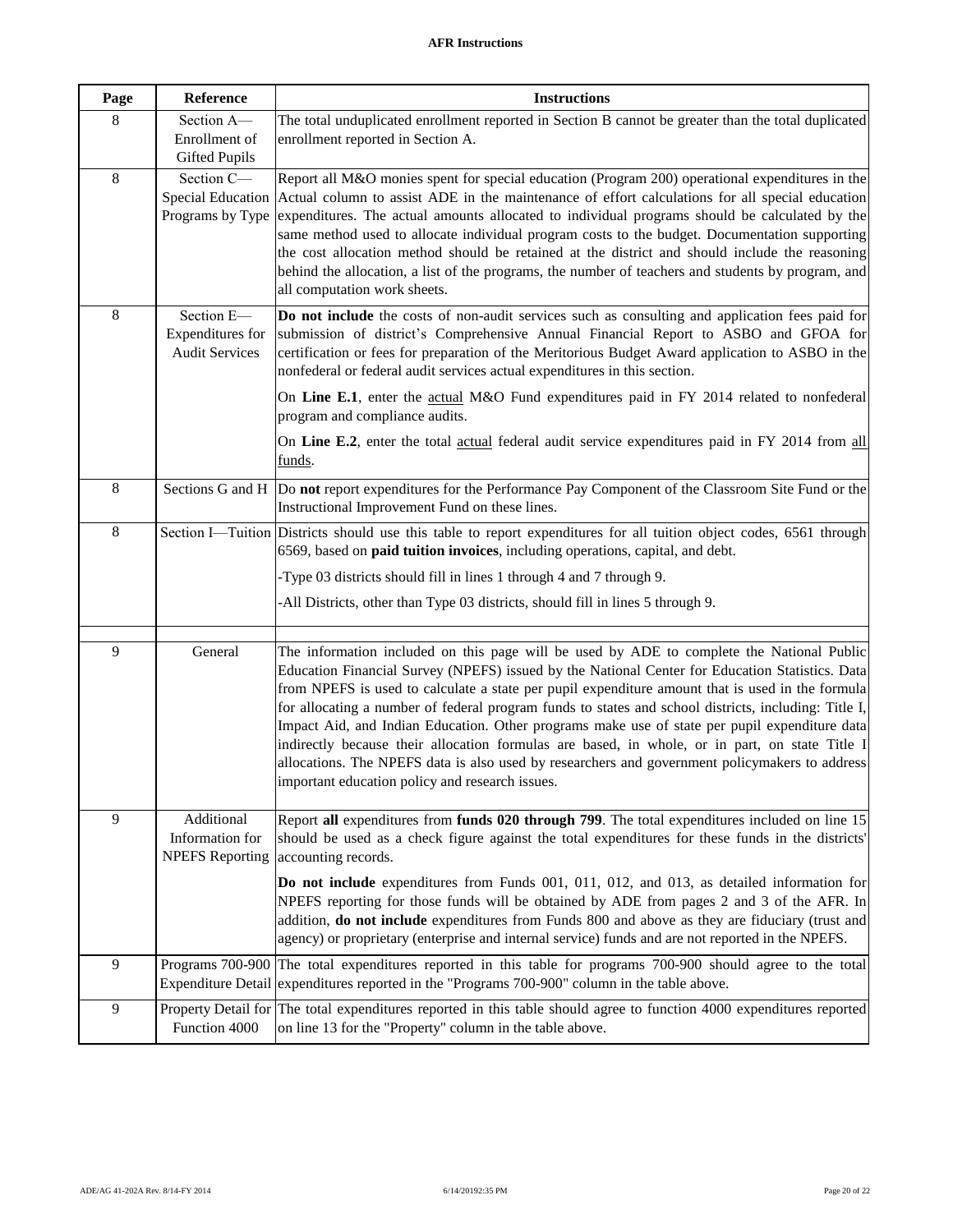| Page           | Reference                                               | <b>Instructions</b>                                                                                                                                                                                                                                                                                                                                                                                                                                                                                                                                                                                                                                                                                                                                              |
|----------------|---------------------------------------------------------|------------------------------------------------------------------------------------------------------------------------------------------------------------------------------------------------------------------------------------------------------------------------------------------------------------------------------------------------------------------------------------------------------------------------------------------------------------------------------------------------------------------------------------------------------------------------------------------------------------------------------------------------------------------------------------------------------------------------------------------------------------------|
| 8              | Section A-<br>Enrollment of<br><b>Gifted Pupils</b>     | The total unduplicated enrollment reported in Section B cannot be greater than the total duplicated<br>enrollment reported in Section A.                                                                                                                                                                                                                                                                                                                                                                                                                                                                                                                                                                                                                         |
| $\,8\,$        | Section C-<br>Special Education<br>Programs by Type     | Report all M&O monies spent for special education (Program 200) operational expenditures in the<br>Actual column to assist ADE in the maintenance of effort calculations for all special education<br>expenditures. The actual amounts allocated to individual programs should be calculated by the<br>same method used to allocate individual program costs to the budget. Documentation supporting<br>the cost allocation method should be retained at the district and should include the reasoning<br>behind the allocation, a list of the programs, the number of teachers and students by program, and<br>all computation work sheets.                                                                                                                     |
| $\,8\,$        | Section E-<br>Expenditures for<br><b>Audit Services</b> | Do not include the costs of non-audit services such as consulting and application fees paid for<br>submission of district's Comprehensive Annual Financial Report to ASBO and GFOA for<br>certification or fees for preparation of the Meritorious Budget Award application to ASBO in the<br>nonfederal or federal audit services actual expenditures in this section.                                                                                                                                                                                                                                                                                                                                                                                          |
|                |                                                         | On Line E.1, enter the actual M&O Fund expenditures paid in FY 2014 related to nonfederal<br>program and compliance audits.                                                                                                                                                                                                                                                                                                                                                                                                                                                                                                                                                                                                                                      |
|                |                                                         | On Line E.2, enter the total actual federal audit service expenditures paid in FY 2014 from all<br>funds.                                                                                                                                                                                                                                                                                                                                                                                                                                                                                                                                                                                                                                                        |
| $\,8\,$        |                                                         | Sections G and H  Do not report expenditures for the Performance Pay Component of the Classroom Site Fund or the<br>Instructional Improvement Fund on these lines.                                                                                                                                                                                                                                                                                                                                                                                                                                                                                                                                                                                               |
| $\,8\,$        |                                                         | Section I—Tuition Districts should use this table to report expenditures for all tuition object codes, 6561 through<br>6569, based on paid tuition invoices, including operations, capital, and debt.                                                                                                                                                                                                                                                                                                                                                                                                                                                                                                                                                            |
|                |                                                         | -Type 03 districts should fill in lines 1 through 4 and 7 through 9.                                                                                                                                                                                                                                                                                                                                                                                                                                                                                                                                                                                                                                                                                             |
|                |                                                         | -All Districts, other than Type 03 districts, should fill in lines 5 through 9.                                                                                                                                                                                                                                                                                                                                                                                                                                                                                                                                                                                                                                                                                  |
| 9              | General                                                 | The information included on this page will be used by ADE to complete the National Public<br>Education Financial Survey (NPEFS) issued by the National Center for Education Statistics. Data<br>from NPEFS is used to calculate a state per pupil expenditure amount that is used in the formula<br>for allocating a number of federal program funds to states and school districts, including: Title I,<br>Impact Aid, and Indian Education. Other programs make use of state per pupil expenditure data<br>indirectly because their allocation formulas are based, in whole, or in part, on state Title I<br>allocations. The NPEFS data is also used by researchers and government policymakers to address<br>important education policy and research issues. |
| $\overline{9}$ | Additional<br>Information for<br><b>NPEFS</b> Reporting | Report all expenditures from funds 020 through 799. The total expenditures included on line 15<br>should be used as a check figure against the total expenditures for these funds in the districts'<br>accounting records.                                                                                                                                                                                                                                                                                                                                                                                                                                                                                                                                       |
|                |                                                         | Do not include expenditures from Funds 001, 011, 012, and 013, as detailed information for<br>NPEFS reporting for those funds will be obtained by ADE from pages 2 and 3 of the AFR. In<br>addition, do not include expenditures from Funds 800 and above as they are fiduciary (trust and<br>agency) or proprietary (enterprise and internal service) funds and are not reported in the NPEFS.                                                                                                                                                                                                                                                                                                                                                                  |
| 9              | Programs 700-900<br><b>Expenditure Detail</b>           | The total expenditures reported in this table for programs 700-900 should agree to the total<br>expenditures reported in the "Programs 700-900" column in the table above.                                                                                                                                                                                                                                                                                                                                                                                                                                                                                                                                                                                       |
| 9              | Function 4000                                           | Property Detail for The total expenditures reported in this table should agree to function 4000 expenditures reported<br>on line 13 for the "Property" column in the table above.                                                                                                                                                                                                                                                                                                                                                                                                                                                                                                                                                                                |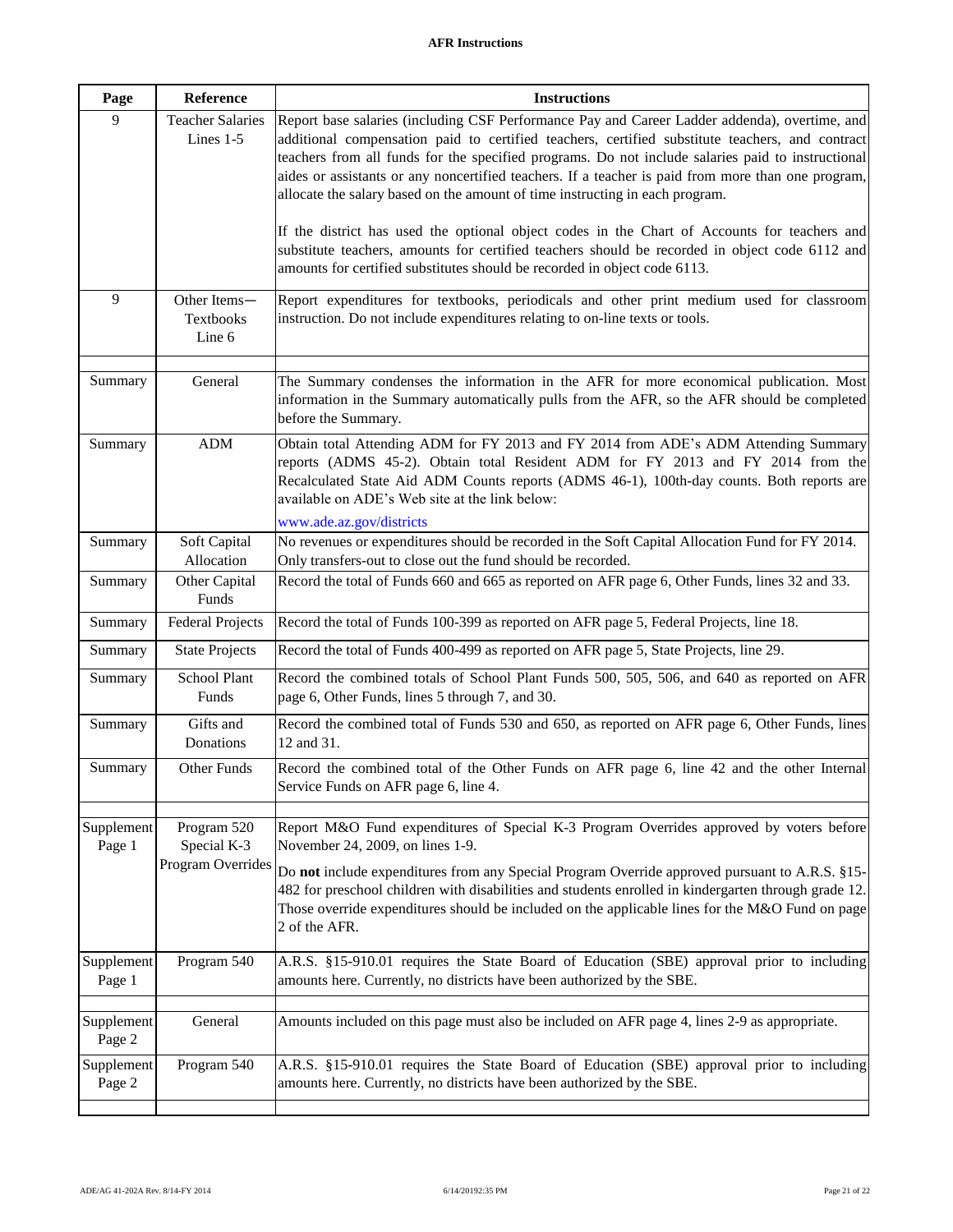| Page                 | Reference                                       | <b>Instructions</b>                                                                                                                                                                                                                                                                                                                                                                                                                                                                                                                                                                                                                                                                           |
|----------------------|-------------------------------------------------|-----------------------------------------------------------------------------------------------------------------------------------------------------------------------------------------------------------------------------------------------------------------------------------------------------------------------------------------------------------------------------------------------------------------------------------------------------------------------------------------------------------------------------------------------------------------------------------------------------------------------------------------------------------------------------------------------|
| 9                    | <b>Teacher Salaries</b><br>Lines 1-5            | Report base salaries (including CSF Performance Pay and Career Ladder addenda), overtime, and<br>additional compensation paid to certified teachers, certified substitute teachers, and contract<br>teachers from all funds for the specified programs. Do not include salaries paid to instructional<br>aides or assistants or any noncertified teachers. If a teacher is paid from more than one program,<br>allocate the salary based on the amount of time instructing in each program.<br>If the district has used the optional object codes in the Chart of Accounts for teachers and<br>substitute teachers, amounts for certified teachers should be recorded in object code 6112 and |
|                      |                                                 | amounts for certified substitutes should be recorded in object code 6113.                                                                                                                                                                                                                                                                                                                                                                                                                                                                                                                                                                                                                     |
| 9                    | Other Items-<br>Textbooks<br>Line 6             | Report expenditures for textbooks, periodicals and other print medium used for classroom<br>instruction. Do not include expenditures relating to on-line texts or tools.                                                                                                                                                                                                                                                                                                                                                                                                                                                                                                                      |
| Summary              | General                                         | The Summary condenses the information in the AFR for more economical publication. Most<br>information in the Summary automatically pulls from the AFR, so the AFR should be completed<br>before the Summary.                                                                                                                                                                                                                                                                                                                                                                                                                                                                                  |
| Summary              | ADM                                             | Obtain total Attending ADM for FY 2013 and FY 2014 from ADE's ADM Attending Summary<br>reports (ADMS 45-2). Obtain total Resident ADM for FY 2013 and FY 2014 from the<br>Recalculated State Aid ADM Counts reports (ADMS 46-1), 100th-day counts. Both reports are<br>available on ADE's Web site at the link below:<br>www.ade.az.gov/districts                                                                                                                                                                                                                                                                                                                                             |
| Summary              | Soft Capital<br>Allocation                      | No revenues or expenditures should be recorded in the Soft Capital Allocation Fund for FY 2014.<br>Only transfers-out to close out the fund should be recorded.                                                                                                                                                                                                                                                                                                                                                                                                                                                                                                                               |
| Summary              | Other Capital<br>Funds                          | Record the total of Funds 660 and 665 as reported on AFR page 6, Other Funds, lines 32 and 33.                                                                                                                                                                                                                                                                                                                                                                                                                                                                                                                                                                                                |
| Summary              | <b>Federal Projects</b>                         | Record the total of Funds 100-399 as reported on AFR page 5, Federal Projects, line 18.                                                                                                                                                                                                                                                                                                                                                                                                                                                                                                                                                                                                       |
| Summary              | <b>State Projects</b>                           | Record the total of Funds 400-499 as reported on AFR page 5, State Projects, line 29.                                                                                                                                                                                                                                                                                                                                                                                                                                                                                                                                                                                                         |
| Summary              | School Plant<br>Funds                           | Record the combined totals of School Plant Funds 500, 505, 506, and 640 as reported on AFR<br>page 6, Other Funds, lines 5 through 7, and 30.                                                                                                                                                                                                                                                                                                                                                                                                                                                                                                                                                 |
| Summary              | Gifts and<br>Donations                          | Record the combined total of Funds 530 and 650, as reported on AFR page 6, Other Funds, lines<br>12 and 31.                                                                                                                                                                                                                                                                                                                                                                                                                                                                                                                                                                                   |
| Summary              | Other Funds                                     | Record the combined total of the Other Funds on AFR page 6, line 42 and the other Internal<br>Service Funds on AFR page 6, line 4.                                                                                                                                                                                                                                                                                                                                                                                                                                                                                                                                                            |
| Supplement<br>Page 1 | Program 520<br>Special K-3<br>Program Overrides | Report M&O Fund expenditures of Special K-3 Program Overrides approved by voters before<br>November 24, 2009, on lines 1-9.<br>Do not include expenditures from any Special Program Override approved pursuant to A.R.S. §15-<br>482 for preschool children with disabilities and students enrolled in kindergarten through grade 12.<br>Those override expenditures should be included on the applicable lines for the M&O Fund on page<br>2 of the AFR.                                                                                                                                                                                                                                     |
| Supplement<br>Page 1 | Program 540                                     | A.R.S. §15-910.01 requires the State Board of Education (SBE) approval prior to including<br>amounts here. Currently, no districts have been authorized by the SBE.                                                                                                                                                                                                                                                                                                                                                                                                                                                                                                                           |
| Supplement<br>Page 2 | General                                         | Amounts included on this page must also be included on AFR page 4, lines 2-9 as appropriate.                                                                                                                                                                                                                                                                                                                                                                                                                                                                                                                                                                                                  |
| Supplement<br>Page 2 | Program 540                                     | A.R.S. §15-910.01 requires the State Board of Education (SBE) approval prior to including<br>amounts here. Currently, no districts have been authorized by the SBE.                                                                                                                                                                                                                                                                                                                                                                                                                                                                                                                           |
|                      |                                                 |                                                                                                                                                                                                                                                                                                                                                                                                                                                                                                                                                                                                                                                                                               |